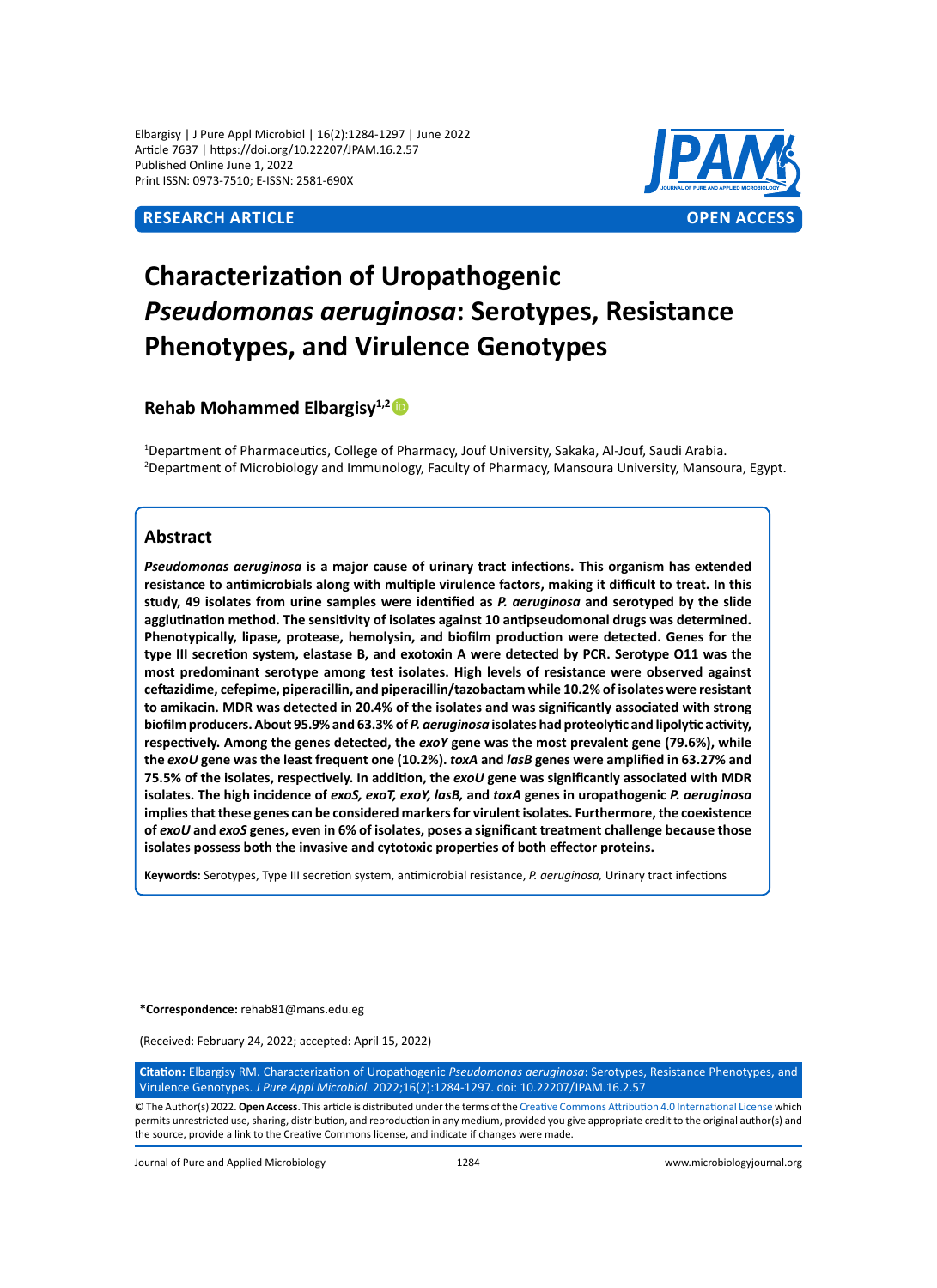Elbargisy | J Pure Appl Microbiol | 16(2):1284-1297 | June 2022 Article 7637 | https://doi.org/10.22207/JPAM.16.2.57 Published Online June 1, 2022 Print ISSN: 0973-7510; E-ISSN: 2581-690X



# **Characterization of Uropathogenic**  *Pseudomonas aeruginosa***: Serotypes, Resistance Phenotypes, and Virulence Genotypes**

**Rehab Mohammed Elbargisy1,2**

1 Department of Pharmaceutics, College of Pharmacy, Jouf University, Sakaka, Al-Jouf, Saudi Arabia. 2 Department of Microbiology and Immunology, Faculty of Pharmacy, Mansoura University, Mansoura, Egypt.

# **Abstract**

*Pseudomonas aeruginosa* **is a major cause of urinary tract infections. This organism has extended resistance to antimicrobials along with multiple virulence factors, making it difficult to treat. In this study, 49 isolates from urine samples were identified as** *P. aeruginosa* **and serotyped by the slide agglutination method. The sensitivity of isolates against 10 antipseudomonal drugs was determined. Phenotypically, lipase, protease, hemolysin, and biofilm production were detected. Genes for the type III secretion system, elastase B, and exotoxin A were detected by PCR. Serotype O11 was the most predominant serotype among test isolates. High levels of resistance were observed against ceftazidime, cefepime, piperacillin, and piperacillin/tazobactam while 10.2% of isolates were resistant to amikacin. MDR was detected in 20.4% of the isolates and was significantly associated with strong biofilm producers. About 95.9% and 63.3% of** *P. aeruginosa* **isolates had proteolytic and lipolytic activity, respectively. Among the genes detected, the** *exoY* **gene was the most prevalent gene (79.6%), while the** *exoU* **gene was the least frequent one (10.2%).** *toxA* **and** *lasB* **genes were amplified in 63.27% and 75.5% of the isolates, respectively. In addition, the** *exoU* **gene was significantly associated with MDR isolates. The high incidence of** *exoS, exoT, exoY, lasB,* **and** *toxA* **genes in uropathogenic** *P. aeruginosa* **implies that these genes can be considered markers for virulent isolates. Furthermore, the coexistence of** *exoU* **and** *exoS* **genes, even in 6% of isolates, poses a significant treatment challenge because those isolates possess both the invasive and cytotoxic properties of both effector proteins.**

**Keywords:** Serotypes, Type III secretion system, antimicrobial resistance, *P. aeruginosa,* Urinary tract infections

**\*Correspondence:** rehab81@mans.edu.eg

(Received: February 24, 2022; accepted: April 15, 2022)

**Citation:** Elbargisy RM. Characterization of Uropathogenic *Pseudomonas aeruginosa*: Serotypes, Resistance Phenotypes, and Virulence Genotypes. *J Pure Appl Microbiol.* 2022;16(2):1284-1297. doi: 10.22207/JPAM.16.2.57

© The Author(s) 2022. **Open Access**. This article is distributed under the terms of the [Creative Commons Attribution 4.0 International License](https://creativecommons.org/licenses/by/4.0/) which permits unrestricted use, sharing, distribution, and reproduction in any medium, provided you give appropriate credit to the original author(s) and the source, provide a link to the Creative Commons license, and indicate if changes were made.

Journal of Pure and Applied Microbiology 1284 www.microbiologyjournal.org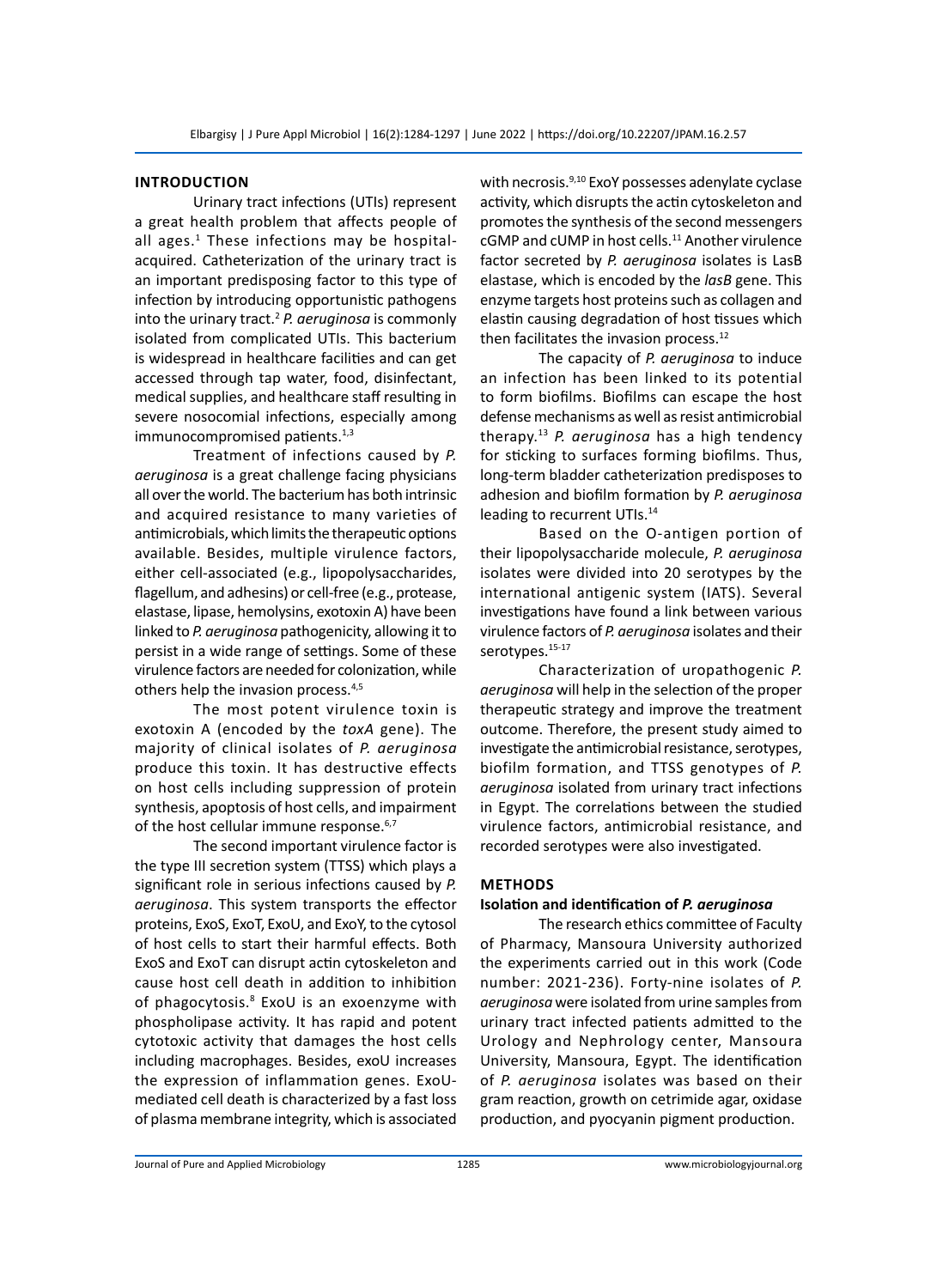## **Introduction**

Urinary tract infections (UTIs) represent a great health problem that affects people of all ages.<sup>1</sup> These infections may be hospitalacquired. Catheterization of the urinary tract is an important predisposing factor to this type of infection by introducing opportunistic pathogens into the urinary tract.<sup>2</sup> *P. aeruginosa* is commonly isolated from complicated UTIs. This bacterium is widespread in healthcare facilities and can get accessed through tap water, food, disinfectant, medical supplies, and healthcare staff resulting in severe nosocomial infections, especially among immunocompromised patients.<sup>1,3</sup>

Treatment of infections caused by *P. aeruginosa* is a great challenge facing physicians all over the world. The bacterium has both intrinsic and acquired resistance to many varieties of antimicrobials, which limits the therapeutic options available. Besides, multiple virulence factors, either cell-associated (e.g., lipopolysaccharides, flagellum, and adhesins) or cell-free (e.g., protease, elastase, lipase, hemolysins, exotoxin A) have been linked to *P. aeruginosa* pathogenicity, allowing it to persist in a wide range of settings. Some of these virulence factors are needed for colonization, while others help the invasion process.<sup>4,5</sup>

The most potent virulence toxin is exotoxin A (encoded by the *toxA* gene). The majority of clinical isolates of *P. aeruginosa* produce this toxin. It has destructive effects on host cells including suppression of protein synthesis, apoptosis of host cells, and impairment of the host cellular immune response.<sup>6,7</sup>

The second important virulence factor is the type III secretion system (TTSS) which plays a significant role in serious infections caused by *P. aeruginosa*. This system transports the effector proteins, ExoS, ExoT, ExoU, and ExoY, to the cytosol of host cells to start their harmful effects. Both ExoS and ExoT can disrupt actin cytoskeleton and cause host cell death in addition to inhibition of phagocytosis.<sup>8</sup> ExoU is an exoenzyme with phospholipase activity. It has rapid and potent cytotoxic activity that damages the host cells including macrophages. Besides, exoU increases the expression of inflammation genes. ExoUmediated cell death is characterized by a fast loss of plasma membrane integrity, which is associated

with necrosis.<sup>9,10</sup> ExoY possesses adenylate cyclase activity, which disrupts the actin cytoskeleton and promotes the synthesis of the second messengers cGMP and cUMP in host cells.<sup>11</sup> Another virulence factor secreted by *P. aeruginosa* isolates is LasB elastase, which is encoded by the *lasB* gene. This enzyme targets host proteins such as collagen and elastin causing degradation of host tissues which then facilitates the invasion process.<sup>12</sup>

The capacity of *P. aeruginosa* to induce an infection has been linked to its potential to form biofilms. Biofilms can escape the host defense mechanisms as well as resist antimicrobial therapy.<sup>13</sup> *P. aeruginosa* has a high tendency for sticking to surfaces forming biofilms. Thus, long-term bladder catheterization predisposes to adhesion and biofilm formation by *P. aeruginosa* leading to recurrent UTIs.<sup>14</sup>

Based on the O-antigen portion of their lipopolysaccharide molecule, *P. aeruginosa* isolates were divided into 20 serotypes by the international antigenic system (IATS). Several investigations have found a link between various virulence factors of *P. aeruginosa* isolates and their serotypes.<sup>15-17</sup>

Characterization of uropathogenic *P. aeruginosa* will help in the selection of the proper therapeutic strategy and improve the treatment outcome. Therefore, the present study aimed to investigate the antimicrobial resistance, serotypes, biofilm formation, and TTSS genotypes of *P. aeruginosa* isolated from urinary tract infections in Egypt. The correlations between the studied virulence factors, antimicrobial resistance, and recorded serotypes were also investigated.

#### **Methods**

#### **Isolation and identification of** *P. aeruginosa*

The research ethics committee of Faculty of Pharmacy, Mansoura University authorized the experiments carried out in this work (Code number: 2021-236). Forty-nine isolates of *P. aeruginosa* were isolated from urine samples from urinary tract infected patients admitted to the Urology and Nephrology center, Mansoura University, Mansoura, Egypt. The identification of *P. aeruginosa* isolates was based on their gram reaction, growth on cetrimide agar, oxidase production, and pyocyanin pigment production.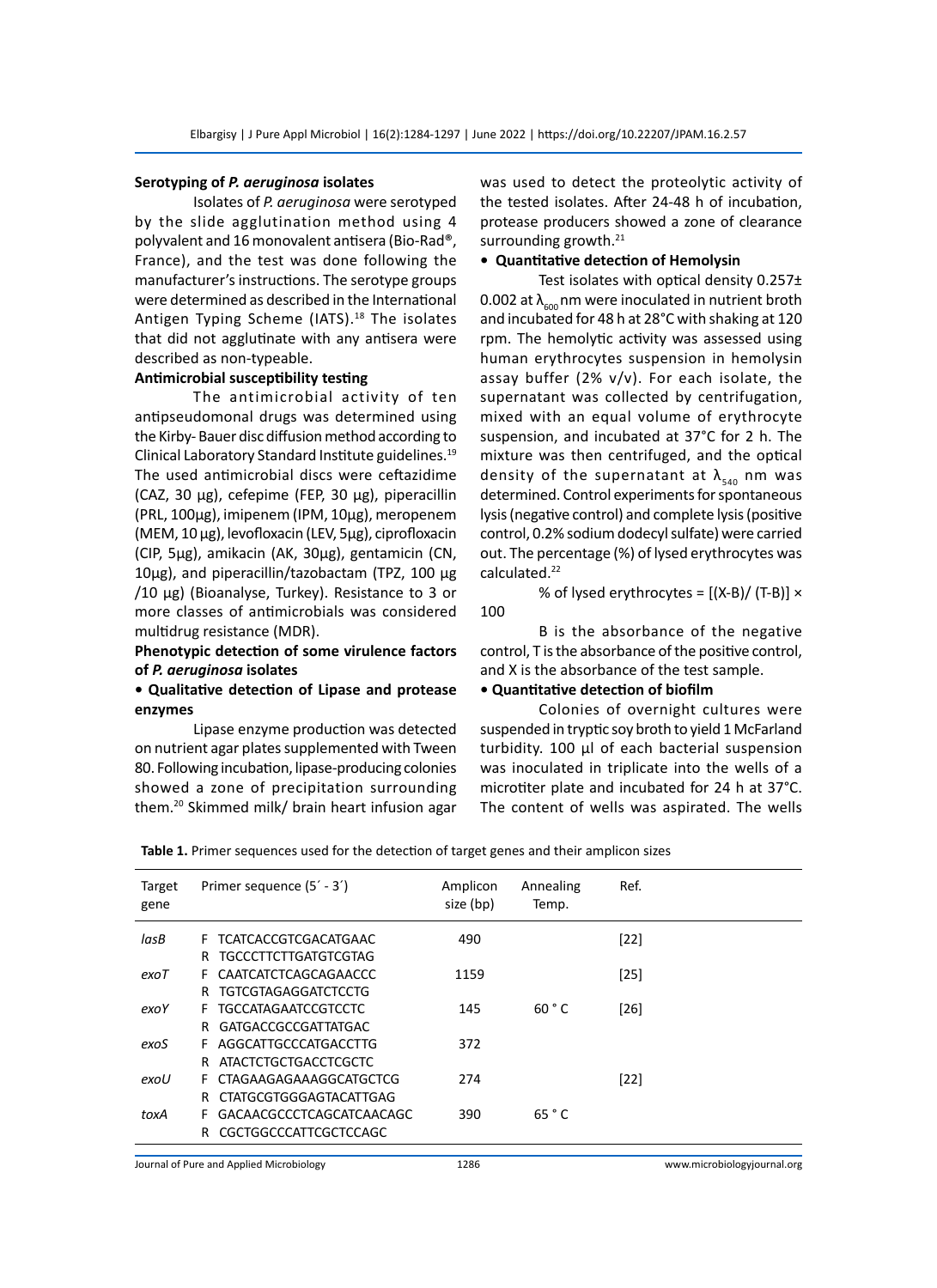#### **Serotyping of** *P. aeruginosa* **isolates**

Isolates of *P. aeruginosa* were serotyped by the slide agglutination method using 4 polyvalent and 16 monovalent antisera (Bio-Rad®, France), and the test was done following the manufacturer's instructions. The serotype groups were determined as described in the International Antigen Typing Scheme (IATS).<sup>18</sup> The isolates that did not agglutinate with any antisera were described as non-typeable.

## **Antimicrobial susceptibility testing**

The antimicrobial activity of ten antipseudomonal drugs was determined using the Kirby- Bauer disc diffusion method according to Clinical Laboratory Standard Institute guidelines.<sup>19</sup> The used antimicrobial discs were ceftazidime (CAZ, 30 μg), cefepime (FEP, 30 µg), piperacillin (PRL, 100μg), imipenem (IPM, 10μg), meropenem (MEM, 10 μg), levofloxacin (LEV, 5μg), ciprofloxacin (CIP, 5μg), amikacin (AK, 30μg), gentamicin (CN, 10μg), and piperacillin/tazobactam (TPZ, 100 µg /10 µg) (Bioanalyse, Turkey). Resistance to 3 or more classes of antimicrobials was considered multidrug resistance (MDR).

# **Phenotypic detection of some virulence factors of** *P. aeruginosa* **isolates**

# **• Qualitative detection of Lipase and protease enzymes**

Lipase enzyme production was detected on nutrient agar plates supplemented with Tween 80. Following incubation, lipase-producing colonies showed a zone of precipitation surrounding them.20 Skimmed milk/ brain heart infusion agar was used to detect the proteolytic activity of the tested isolates. After 24-48 h of incubation, protease producers showed a zone of clearance surrounding growth.<sup>21</sup>

## **• Quantitative detection of Hemolysin**

Test isolates with optical density 0.257± 0.002 at  $\lambda_{\rm 600}$  nm were inoculated in nutrient broth and incubated for 48 h at 28°C with shaking at 120 rpm. The hemolytic activity was assessed using human erythrocytes suspension in hemolysin assay buffer (2%  $v/v$ ). For each isolate, the supernatant was collected by centrifugation, mixed with an equal volume of erythrocyte suspension, and incubated at 37°C for 2 h. The mixture was then centrifuged, and the optical density of the supernatant at  $\lambda_{540}$  nm was determined. Control experiments for spontaneous lysis (negative control) and complete lysis (positive control, 0.2% sodium dodecyl sulfate) were carried out. The percentage (%) of lysed erythrocytes was calculated.<sup>22</sup>

# % of lysed erythrocytes =  $[(X-B)/(T-B)] \times$

100

B is the absorbance of the negative control, T is the absorbance of the positive control, and X is the absorbance of the test sample.

# **• Quantitative detection of biofilm**

Colonies of overnight cultures were suspended in tryptic soy broth to yield 1 McFarland turbidity. 100 μl of each bacterial suspension was inoculated in triplicate into the wells of a microtiter plate and incubated for 24 h at 37°C. The content of wells was aspirated. The wells

| Target<br>gene | Primer sequence $(5' - 3')$       | Amplicon<br>size (bp) | Annealing<br>Temp. | Ref.   |
|----------------|-----------------------------------|-----------------------|--------------------|--------|
| lasB           | <b>TCATCACCGTCGACATGAAC</b><br>F. | 490                   |                    | $[22]$ |
|                | <b>TGCCCTTCTTGATGTCGTAG</b><br>R  |                       |                    |        |
| exoT           | CAATCATCTCAGCAGAACCC<br>F.        | 1159                  |                    | $[25]$ |
|                | <b>TGTCGTAGAGGATCTCCTG</b><br>R   |                       |                    |        |
| exoY           | <b>TGCCATAGAATCCGTCCTC</b><br>F.  | 145                   | 60 °C              | $[26]$ |
|                | GATGACCGCCGATTATGAC<br>R          |                       |                    |        |
| exoS           | F AGGCATTGCCCATGACCTTG            | 372                   |                    |        |
|                | ATACTCTGCTGACCTCGCTC<br>R         |                       |                    |        |
| exoU           | CTAGAAGAGAAAGGCATGCTCG<br>F.      | 274                   |                    | $[22]$ |
|                | CTATGCGTGGGAGTACATTGAG<br>R       |                       |                    |        |
| toxA           | GACAACGCCCTCAGCATCAACAGC<br>F.    | 390                   | 65 °C              |        |
|                | CGCTGGCCCATTCGCTCCAGC<br>R        |                       |                    |        |

**Table 1.** Primer sequences used for the detection of target genes and their amplicon sizes

Journal of Pure and Applied Microbiology 1286 www.microbiologyjournal.org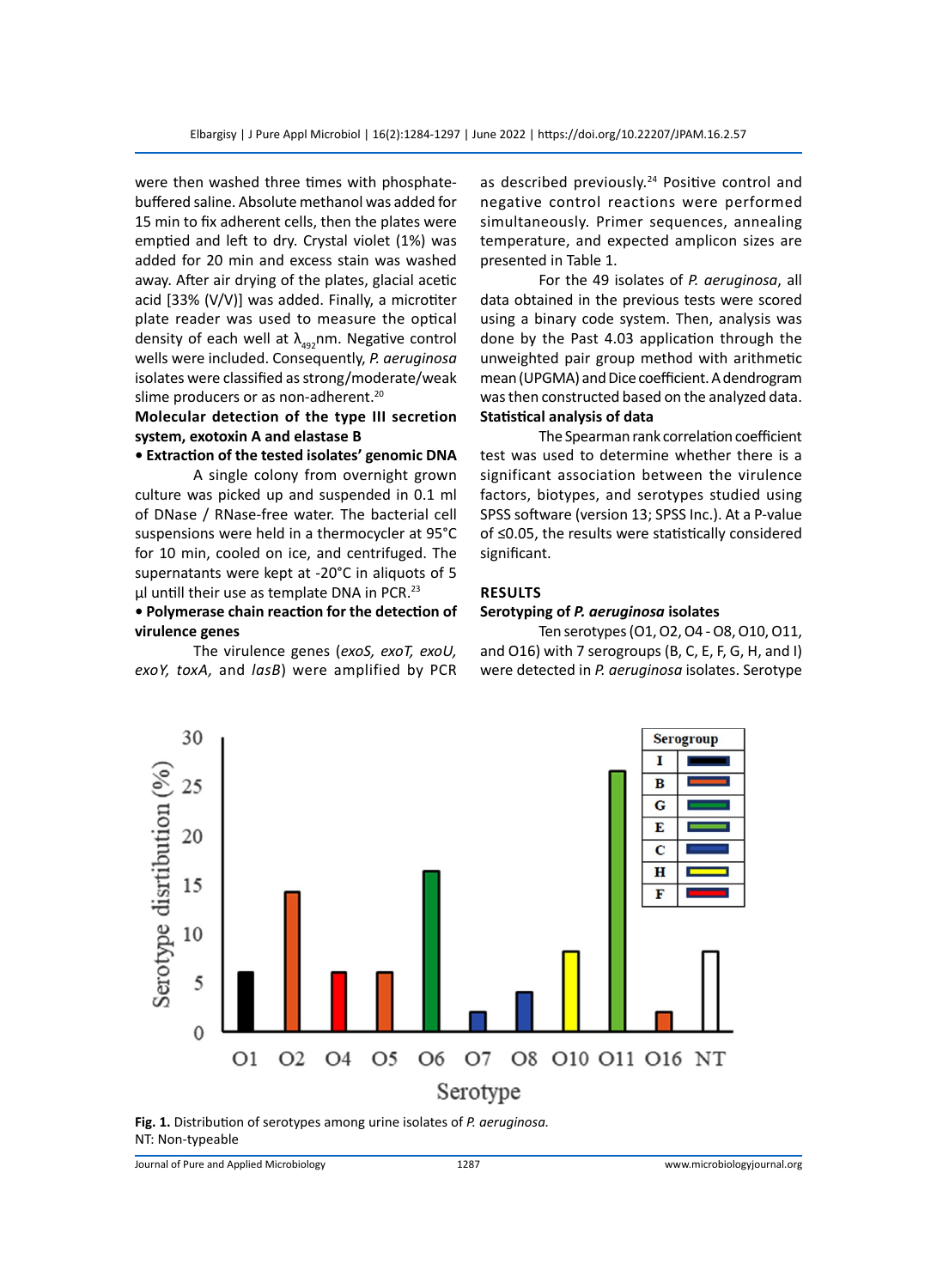were then washed three times with phosphatebuffered saline. Absolute methanol was added for 15 min to fix adherent cells, then the plates were emptied and left to dry. Crystal violet (1%) was added for 20 min and excess stain was washed away. After air drying of the plates, glacial acetic acid [33% (V/V)] was added. Finally, a microtiter plate reader was used to measure the optical density of each well at  $\lambda_{492}$ nm. Negative control wells were included. Consequently, *P. aeruginosa* isolates were classified as strong/moderate/weak slime producers or as non-adherent.<sup>20</sup>

# **Molecular detection of the type III secretion system, exotoxin A and elastase B**

# **• Extraction of the tested isolates' genomic DNA**

A single colony from overnight grown culture was picked up and suspended in 0.1 ml of DNase / RNase-free water. The bacterial cell suspensions were held in a thermocycler at 95°C for 10 min, cooled on ice, and centrifuged. The supernatants were kept at -20°C in aliquots of 5 μl untill their use as template DNA in PCR.23

# **• Polymerase chain reaction for the detection of virulence genes**

The virulence genes (*exoS, exoT, exoU, exoY, toxA,* and *lasB*) were amplified by PCR as described previously.<sup>24</sup> Positive control and negative control reactions were performed simultaneously. Primer sequences, annealing temperature, and expected amplicon sizes are presented in Table 1.

For the 49 isolates of *P. aeruginosa*, all data obtained in the previous tests were scored using a binary code system. Then, analysis was done by the Past 4.03 application through the unweighted pair group method with arithmetic mean (UPGMA) and Dice coefficient. A dendrogram was then constructed based on the analyzed data. **Statistical analysis of data**

The Spearman rank correlation coefficient test was used to determine whether there is a significant association between the virulence factors, biotypes, and serotypes studied using SPSS software (version 13; SPSS Inc.). At a P-value of ≤0.05, the results were statistically considered significant.

#### **Results**

#### **Serotyping of** *P. aeruginosa* **isolates**

Ten serotypes (O1, O2, O4 - O8, O10, O11, and O16) with 7 serogroups (B, C, E, F, G, H, and I) were detected in *P. aeruginosa* isolates. Serotype



**Fig. 1.** Distribution of serotypes among urine isolates of *P. aeruginosa.* NT: Non-typeable

Journal of Pure and Applied Microbiology 1287 www.microbiologyjournal.org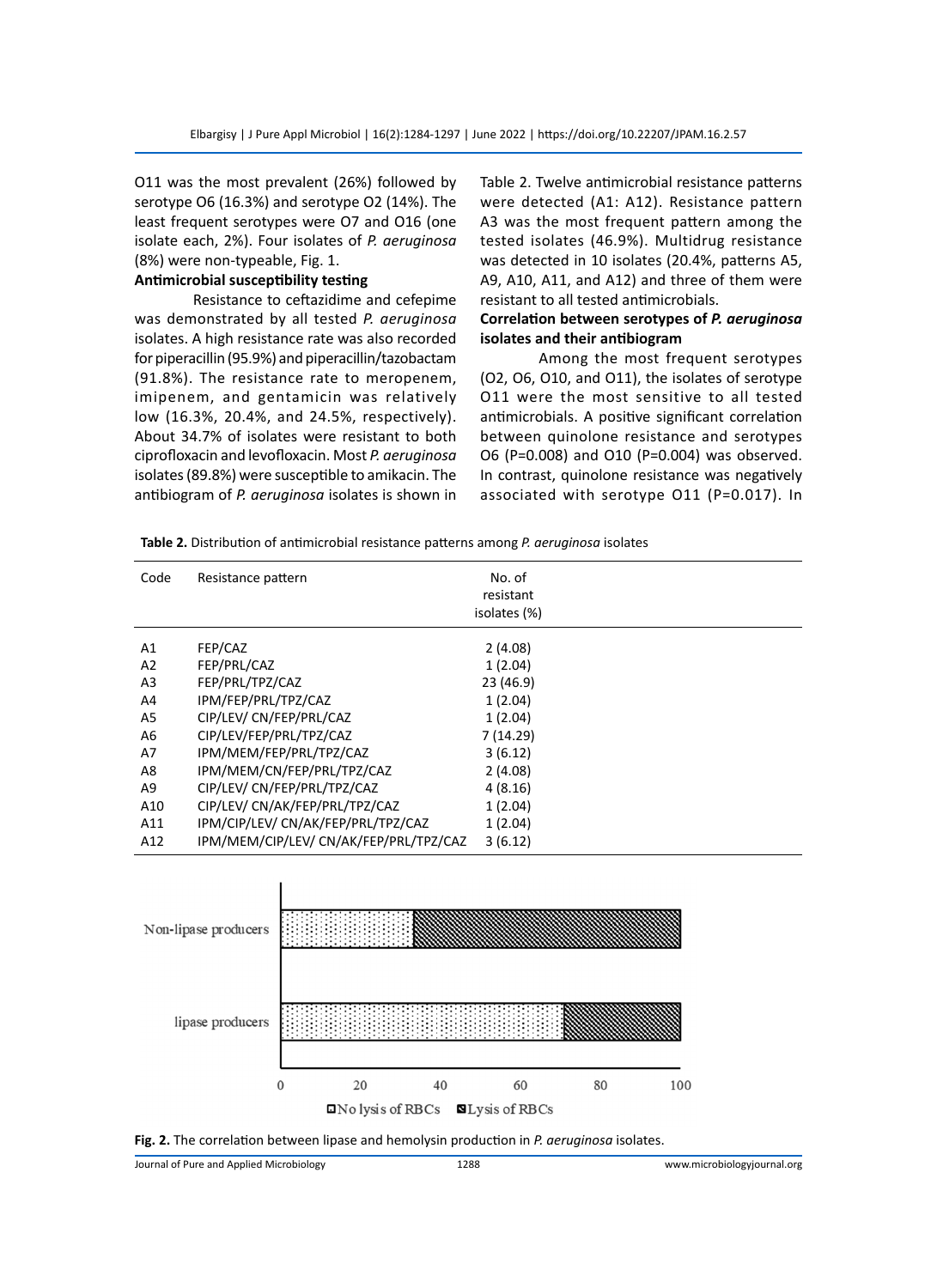O11 was the most prevalent (26%) followed by serotype O6 (16.3%) and serotype O2 (14%). The least frequent serotypes were O7 and O16 (one isolate each, 2%). Four isolates of *P. aeruginosa* (8%) were non-typeable, Fig. 1.

# **Antimicrobial susceptibility testing**

Resistance to ceftazidime and cefepime was demonstrated by all tested *P. aeruginosa* isolates. A high resistance rate was also recorded for piperacillin (95.9%) and piperacillin/tazobactam (91.8%). The resistance rate to meropenem, imipenem, and gentamicin was relatively low (16.3%, 20.4%, and 24.5%, respectively). About 34.7% of isolates were resistant to both ciprofloxacin and levofloxacin. Most *P. aeruginosa* isolates (89.8%) were susceptible to amikacin. The antibiogram of *P. aeruginosa* isolates is shown in Table 2. Twelve antimicrobial resistance patterns were detected (A1: A12). Resistance pattern A3 was the most frequent pattern among the tested isolates (46.9%). Multidrug resistance was detected in 10 isolates (20.4%, patterns A5, A9, A10, A11, and A12) and three of them were resistant to all tested antimicrobials.

# **Correlation between serotypes of** *P. aeruginosa* **isolates and their antibiogram**

Among the most frequent serotypes (O2, O6, O10, and O11), the isolates of serotype O11 were the most sensitive to all tested antimicrobials. A positive significant correlation between quinolone resistance and serotypes O6 (P=0.008) and O10 (P=0.004) was observed. In contrast, quinolone resistance was negatively associated with serotype O11 (P=0.017). In

**Table 2.** Distribution of antimicrobial resistance patterns among *P. aeruginosa* isolates

| Code           | Resistance pattern                     | No. of<br>resistant<br>isolates (%) |
|----------------|----------------------------------------|-------------------------------------|
| A1             | FEP/CAZ                                | 2(4.08)                             |
| A2             | FEP/PRL/CAZ                            | 1(2.04)                             |
| A <sub>3</sub> | FEP/PRL/TPZ/CAZ                        | 23(46.9)                            |
| A4             | IPM/FEP/PRL/TPZ/CAZ                    | 1(2.04)                             |
| A5             | CIP/LEV/ CN/FEP/PRL/CAZ                | 1(2.04)                             |
| A6             | CIP/LEV/FEP/PRL/TPZ/CAZ                | 7(14.29)                            |
| A7             | IPM/MEM/FEP/PRL/TPZ/CAZ                | 3(6.12)                             |
| A8             | IPM/MEM/CN/FEP/PRL/TPZ/CAZ             | 2(4.08)                             |
| A9             | CIP/LEV/ CN/FEP/PRL/TPZ/CAZ            | 4(8.16)                             |
| A10            | CIP/LEV/ CN/AK/FEP/PRL/TPZ/CAZ         | 1(2.04)                             |
| A11            | IPM/CIP/LEV/ CN/AK/FEP/PRL/TPZ/CAZ     | 1(2.04)                             |
| A12            | IPM/MEM/CIP/LEV/ CN/AK/FEP/PRL/TPZ/CAZ | 3(6.12)                             |
|                |                                        |                                     |





Journal of Pure and Applied Microbiology 1288 www.microbiologyjournal.org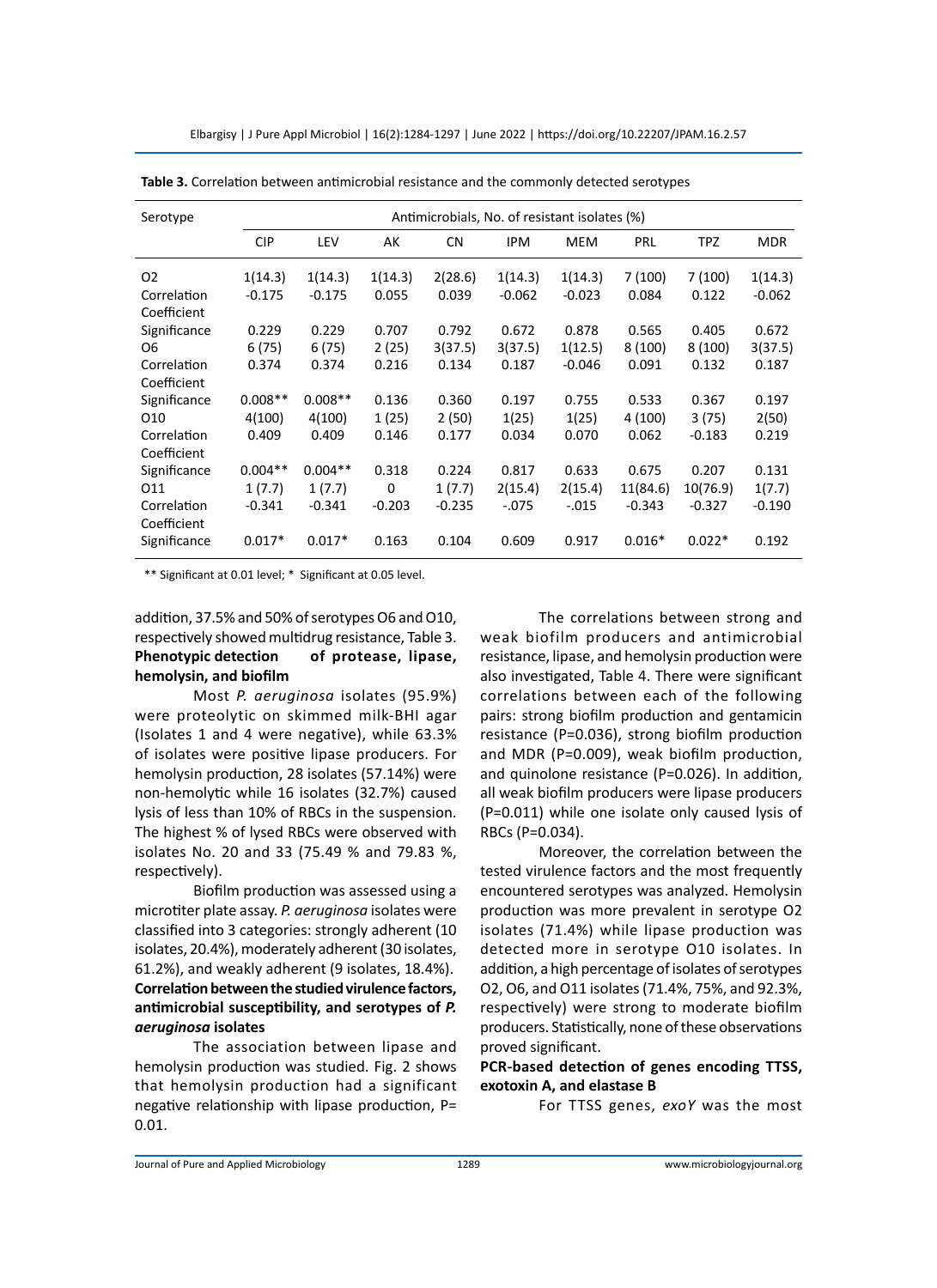Elbargisy | J Pure Appl Microbiol | 16(2):1284-1297 | June 2022 | https://doi.org/10.22207/JPAM.16.2.57

| Serotype                   | Antimicrobials, No. of resistant isolates (%) |           |          |           |            |            |            |            |            |
|----------------------------|-----------------------------------------------|-----------|----------|-----------|------------|------------|------------|------------|------------|
|                            | <b>CIP</b>                                    | LEV       | AK       | <b>CN</b> | <b>IPM</b> | <b>MEM</b> | <b>PRL</b> | <b>TPZ</b> | <b>MDR</b> |
| O <sub>2</sub>             | 1(14.3)                                       | 1(14.3)   | 1(14.3)  | 2(28.6)   | 1(14.3)    | 1(14.3)    | 7(100)     | 7(100)     | 1(14.3)    |
| Correlation<br>Coefficient | $-0.175$                                      | $-0.175$  | 0.055    | 0.039     | $-0.062$   | $-0.023$   | 0.084      | 0.122      | $-0.062$   |
| Significance               | 0.229                                         | 0.229     | 0.707    | 0.792     | 0.672      | 0.878      | 0.565      | 0.405      | 0.672      |
| Ο6                         | 6(75)                                         | 6(75)     | 2(25)    | 3(37.5)   | 3(37.5)    | 1(12.5)    | 8(100)     | 8(100)     | 3(37.5)    |
| Correlation                | 0.374                                         | 0.374     | 0.216    | 0.134     | 0.187      | $-0.046$   | 0.091      | 0.132      | 0.187      |
| Coefficient                |                                               |           |          |           |            |            |            |            |            |
| Significance               | $0.008**$                                     | $0.008**$ | 0.136    | 0.360     | 0.197      | 0.755      | 0.533      | 0.367      | 0.197      |
| 010                        | 4(100)                                        | 4(100)    | 1(25)    | 2(50)     | 1(25)      | 1(25)      | 4 (100)    | 3 (75)     | 2(50)      |
| Correlation                | 0.409                                         | 0.409     | 0.146    | 0.177     | 0.034      | 0.070      | 0.062      | $-0.183$   | 0.219      |
| Coefficient                |                                               |           |          |           |            |            |            |            |            |
| Significance               | $0.004**$                                     | $0.004**$ | 0.318    | 0.224     | 0.817      | 0.633      | 0.675      | 0.207      | 0.131      |
| 011                        | 1(7.7)                                        | 1(7.7)    | 0        | 1(7.7)    | 2(15.4)    | 2(15.4)    | 11(84.6)   | 10(76.9)   | 1(7.7)     |
| Correlation<br>Coefficient | $-0.341$                                      | $-0.341$  | $-0.203$ | $-0.235$  | $-.075$    | $-.015$    | $-0.343$   | $-0.327$   | $-0.190$   |
| Significance               | $0.017*$                                      | $0.017*$  | 0.163    | 0.104     | 0.609      | 0.917      | $0.016*$   | $0.022*$   | 0.192      |

**Table 3.** Correlation between antimicrobial resistance and the commonly detected serotypes

\*\* Significant at 0.01 level; \* Significant at 0.05 level.

# addition, 37.5% and 50% of serotypes O6 and O10, respectively showed multidrug resistance, Table 3. **Phenotypic detection of protease, lipase, hemolysin, and biofilm**

Most *P. aeruginosa* isolates (95.9%) were proteolytic on skimmed milk-BHI agar (Isolates 1 and 4 were negative), while 63.3% of isolates were positive lipase producers. For hemolysin production, 28 isolates (57.14%) were non-hemolytic while 16 isolates (32.7%) caused lysis of less than 10% of RBCs in the suspension. The highest % of lysed RBCs were observed with isolates No. 20 and 33 (75.49 % and 79.83 %, respectively).

Biofilm production was assessed using a microtiter plate assay. *P. aeruginosa* isolates were classified into 3 categories: strongly adherent (10 isolates, 20.4%), moderately adherent (30 isolates, 61.2%), and weakly adherent (9 isolates, 18.4%). **Correlation between the studied virulence factors, antimicrobial susceptibility, and serotypes of** *P. aeruginosa* **isolates**

The association between lipase and hemolysin production was studied. Fig. 2 shows that hemolysin production had a significant negative relationship with lipase production, P= 0.01.

The correlations between strong and weak biofilm producers and antimicrobial resistance, lipase, and hemolysin production were also investigated, Table 4. There were significant correlations between each of the following pairs: strong biofilm production and gentamicin resistance (P=0.036), strong biofilm production and MDR (P=0.009), weak biofilm production, and quinolone resistance (P=0.026). In addition, all weak biofilm producers were lipase producers (P=0.011) while one isolate only caused lysis of RBCs (P=0.034).

Moreover, the correlation between the tested virulence factors and the most frequently encountered serotypes was analyzed. Hemolysin production was more prevalent in serotype O2 isolates (71.4%) while lipase production was detected more in serotype O10 isolates. In addition, a high percentage of isolates of serotypes O2, O6, and O11 isolates (71.4%, 75%, and 92.3%, respectively) were strong to moderate biofilm producers. Statistically, none of these observations proved significant.

# **PCR-based detection of genes encoding TTSS, exotoxin A, and elastase B**

For TTSS genes, *exoY* was the most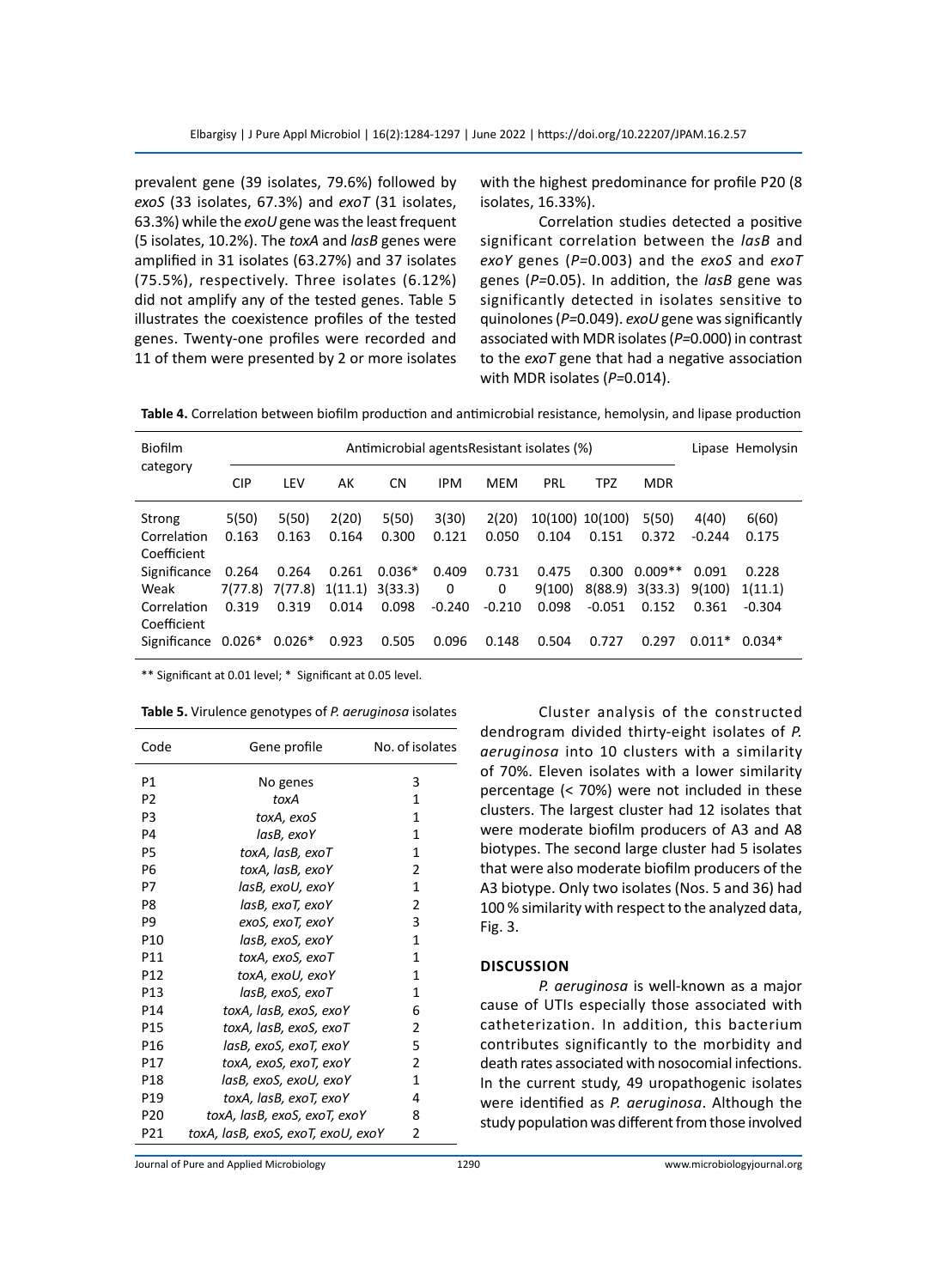prevalent gene (39 isolates, 79.6%) followed by *exoS* (33 isolates, 67.3%) and *exoT* (31 isolates, 63.3%) while the *exoU* gene was the least frequent (5 isolates, 10.2%). The *toxA* and *lasB* genes were amplified in 31 isolates (63.27%) and 37 isolates (75.5%), respectively. Three isolates (6.12%) did not amplify any of the tested genes. Table 5 illustrates the coexistence profiles of the tested genes. Twenty-one profiles were recorded and 11 of them were presented by 2 or more isolates with the highest predominance for profile P20 (8 isolates, 16.33%).

Correlation studies detected a positive significant correlation between the *lasB* and *exoY* genes (*P=*0.003) and the *exoS* and *exoT* genes (*P=*0.05). In addition, the *lasB* gene was significantly detected in isolates sensitive to quinolones (*P=*0.049). *exoU* gene was significantly associated with MDR isolates (*P=*0.000) in contrast to the *exoT* gene that had a negative association with MDR isolates (*P=*0.014).

**Table 4.** Correlation between biofilm production and antimicrobial resistance, hemolysin, and lipase production

| Biofilm      |            | Antimicrobial agents Resistant isolates (%) |         |          |          |            |        |                 |                     |          | Lipase Hemolysin |
|--------------|------------|---------------------------------------------|---------|----------|----------|------------|--------|-----------------|---------------------|----------|------------------|
| category     | <b>CIP</b> | LEV                                         | АK      | CΝ       | IPM      | <b>MEM</b> | PRL    | <b>TPZ</b>      | <b>MDR</b>          |          |                  |
| Strong       | 5(50)      | 5(50)                                       | 2(20)   | 5(50)    | 3(30)    | 2(20)      |        | 10(100) 10(100) | 5(50)               | 4(40)    | 6(60)            |
| Correlation  | 0.163      | 0.163                                       | 0.164   | 0.300    | 0.121    | 0.050      | 0.104  | 0.151           | 0.372               | $-0.244$ | 0.175            |
| Coefficient  |            |                                             |         |          |          |            |        |                 |                     |          |                  |
| Significance | 0.264      | 0.264                                       | 0.261   | $0.036*$ | 0.409    | 0.731      | 0.475  | 0.300           | $0.009**$           | 0.091    | 0.228            |
| Weak         | 7(77.8)    | 7(77.8)                                     | 1(11.1) | 3(33.3)  | 0        | 0          | 9(100) |                 | $8(88.9)$ $3(33.3)$ | 9(100)   | 1(11.1)          |
| Correlation  | 0.319      | 0.319                                       | 0.014   | 0.098    | $-0.240$ | $-0.210$   | 0.098  | $-0.051$        | 0.152               | 0.361    | $-0.304$         |
| Coefficient  |            |                                             |         |          |          |            |        |                 |                     |          |                  |
| Significance | $0.026*$   | $0.026*$                                    | 0.923   | 0.505    | 0.096    | 0.148      | 0.504  | 0.727           | 0.297               | $0.011*$ | $0.034*$         |

\*\* Significant at 0.01 level; \* Significant at 0.05 level.

**Table 5.** Virulence genotypes of *P. aeruginosa* isolates

| Code            | Gene profile                       | No. of isolates |
|-----------------|------------------------------------|-----------------|
| P1              | No genes                           | 3               |
| P <sub>2</sub>  | toxA                               | 1               |
| P3              | toxA, exoS                         | 1               |
| P4              | lasB, exoY                         | 1               |
| P5              | toxA, lasB, exoT                   | 1               |
| P <sub>6</sub>  | toxA, lasB, exoY                   | 2               |
| P7              | lasB, exoU, exoY                   | 1               |
| P8              | lasB, exoT, exoY                   | 2               |
| P <sub>9</sub>  | exoS, exoT, exoY                   | 3               |
| P <sub>10</sub> | lasB, exoS, exoY                   | 1               |
| P11             | toxA, exoS, exoT                   | 1               |
| P <sub>12</sub> | toxA, exoU, exoY                   | 1               |
| P <sub>13</sub> | lasB, exoS, exoT                   | 1               |
| P <sub>14</sub> | toxA, lasB, exoS, exoY             | 6               |
| P15             | toxA, lasB, exoS, exoT             | 2               |
| P <sub>16</sub> | lasB, exoS, exoT, exoY             | 5               |
| P17             | toxA, exoS, exoT, exoY             | $\mathfrak{p}$  |
| P <sub>18</sub> | lasB, exoS, exoU, exoY             | 1               |
| P <sub>19</sub> | toxA, lasB, exoT, exoY             | 4               |
| P <sub>20</sub> | toxA, lasB, exoS, exoT, exoY       | 8               |
| P21             | toxA, lasB, exoS, exoT, exoU, exoY | 2               |

Cluster analysis of the constructed dendrogram divided thirty-eight isolates of *P. aeruginosa* into 10 clusters with a similarity of 70%. Eleven isolates with a lower similarity percentage (< 70%) were not included in these clusters. The largest cluster had 12 isolates that were moderate biofilm producers of A3 and A8 biotypes. The second large cluster had 5 isolates that were also moderate biofilm producers of the A3 biotype. Only two isolates (Nos. 5 and 36) had 100 % similarity with respect to the analyzed data, Fig. 3.

# **Discussion**

*P. aeruginosa* is well-known as a major cause of UTIs especially those associated with catheterization. In addition, this bacterium contributes significantly to the morbidity and death rates associated with nosocomial infections. In the current study, 49 uropathogenic isolates were identified as *P. aeruginosa*. Although the study population was different from those involved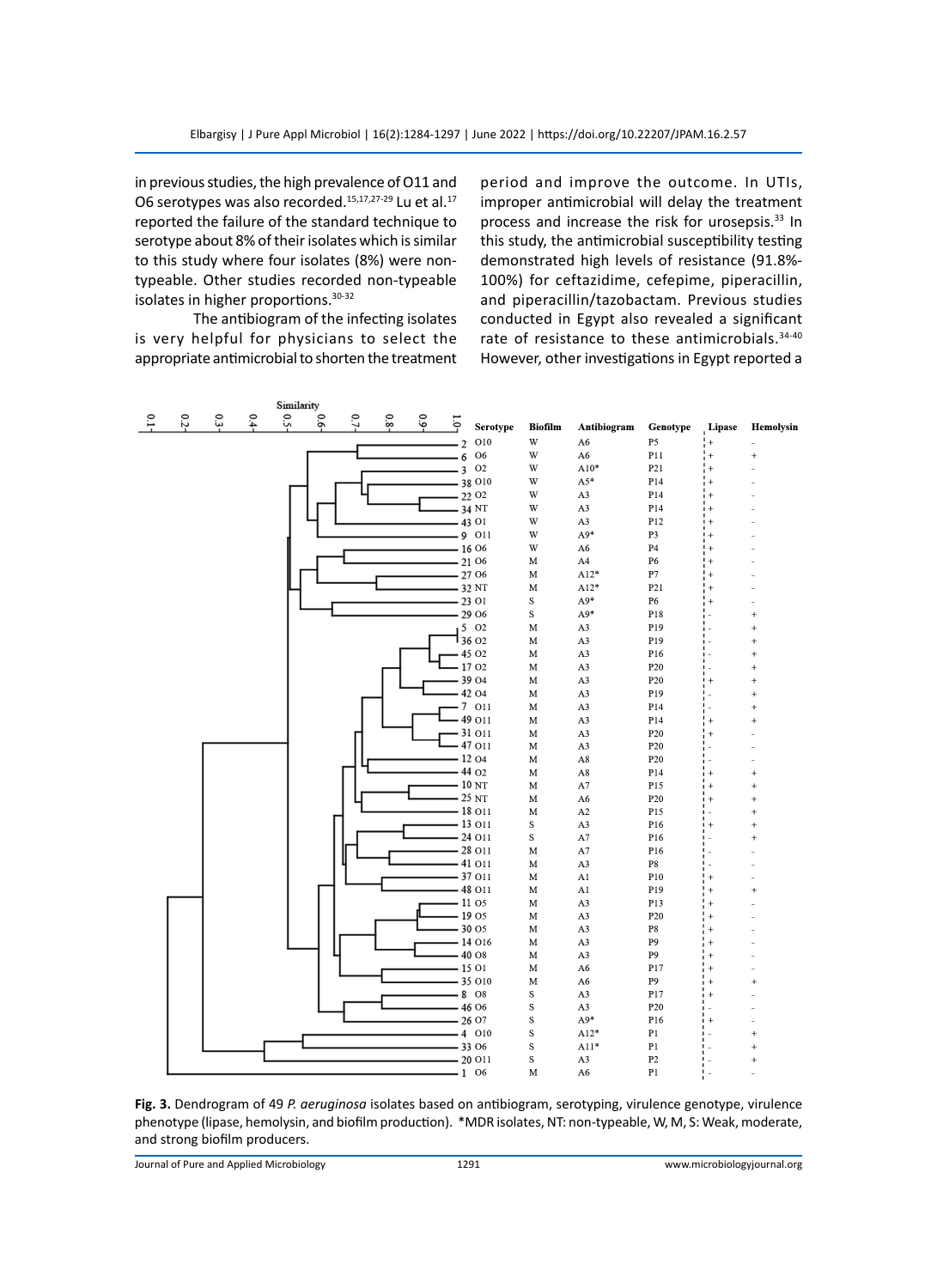in previous studies, the high prevalence of O11 and O6 serotypes was also recorded.<sup>15,17,27-29</sup> Lu et al.<sup>17</sup> reported the failure of the standard technique to serotype about 8% of their isolates which is similar to this study where four isolates (8%) were nontypeable. Other studies recorded non-typeable isolates in higher proportions.30-32

The antibiogram of the infecting isolates is very helpful for physicians to select the appropriate antimicrobial to shorten the treatment period and improve the outcome. In UTIs, improper antimicrobial will delay the treatment process and increase the risk for urosepsis.<sup>33</sup> In this study, the antimicrobial susceptibility testing demonstrated high levels of resistance (91.8%- 100%) for ceftazidime, cefepime, piperacillin, and piperacillin/tazobactam. Previous studies conducted in Egypt also revealed a significant rate of resistance to these antimicrobials.<sup>34-40</sup> However, other investigations in Egypt reported a



**Fig. 3.** Dendrogram of 49 *P. aeruginosa* isolates based on antibiogram, serotyping, virulence genotype, virulence phenotype (lipase, hemolysin, and biofilm production). \*MDR isolates, NT: non-typeable, W, M, S: Weak, moderate, and strong biofilm producers.

Journal of Pure and Applied Microbiology 1291 www.microbiologyjournal.org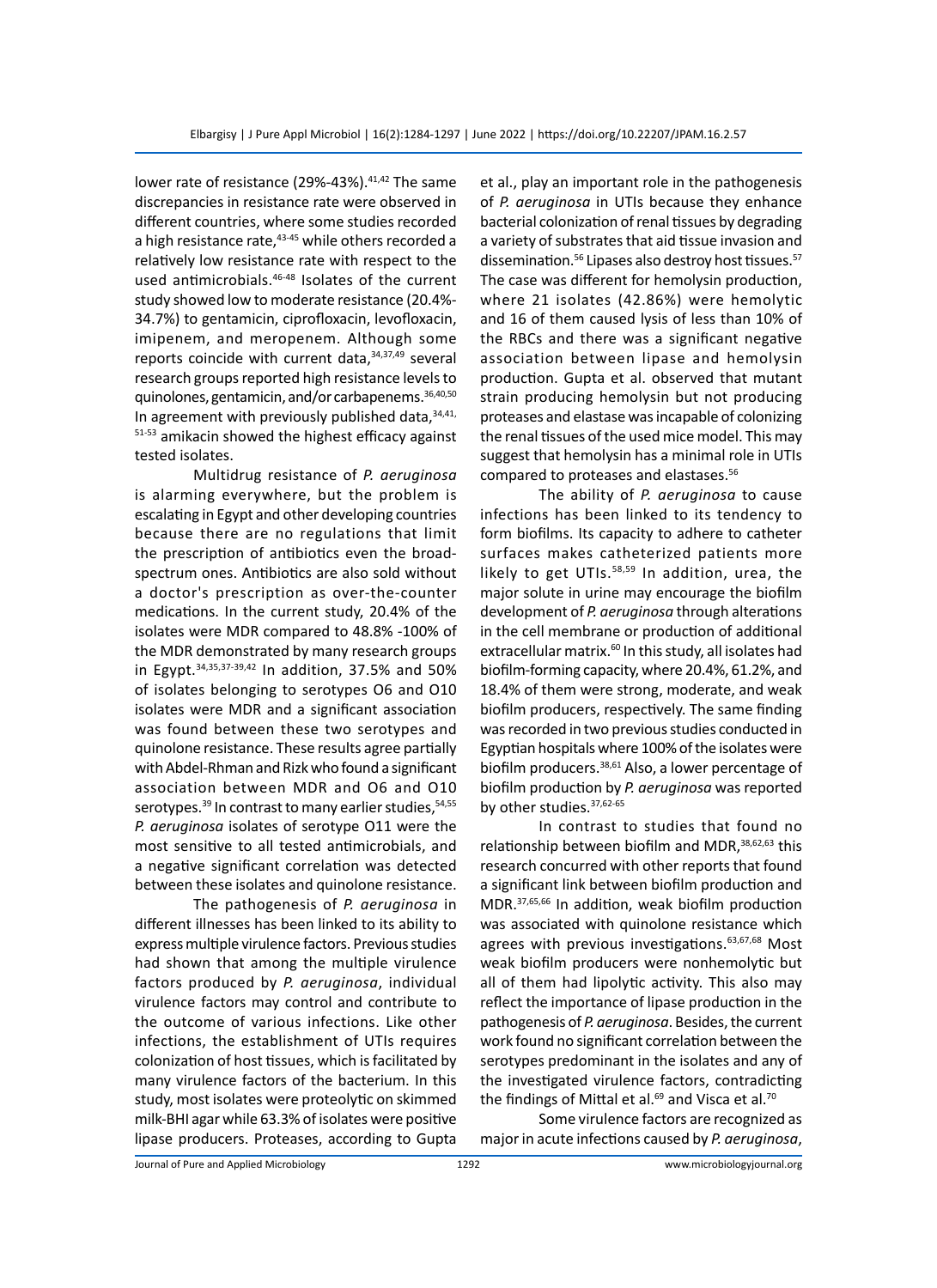lower rate of resistance (29%-43%).<sup>41,42</sup> The same discrepancies in resistance rate were observed in different countries, where some studies recorded a high resistance rate, 43-45 while others recorded a relatively low resistance rate with respect to the used antimicrobials.<sup>46-48</sup> Isolates of the current study showed low to moderate resistance (20.4%- 34.7%) to gentamicin, ciprofloxacin, levofloxacin, imipenem, and meropenem. Although some reports coincide with current data,  $34,37,49$  several research groups reported high resistance levels to quinolones, gentamicin, and/or carbapenems.36,40,50 In agreement with previously published data,  $34,41,$ 51-53 amikacin showed the highest efficacy against tested isolates.

Multidrug resistance of *P. aeruginosa* is alarming everywhere, but the problem is escalating in Egypt and other developing countries because there are no regulations that limit the prescription of antibiotics even the broadspectrum ones. Antibiotics are also sold without a doctor's prescription as over-the-counter medications. In the current study, 20.4% of the isolates were MDR compared to 48.8% -100% of the MDR demonstrated by many research groups in Egypt.34,35,37-39,42 In addition, 37.5% and 50% of isolates belonging to serotypes O6 and O10 isolates were MDR and a significant association was found between these two serotypes and quinolone resistance. These results agree partially with Abdel-Rhman and Rizk who found a significant association between MDR and O6 and O10 serotypes.<sup>39</sup> In contrast to many earlier studies, 54,55 *P. aeruginosa* isolates of serotype O11 were the most sensitive to all tested antimicrobials, and a negative significant correlation was detected between these isolates and quinolone resistance.

The pathogenesis of *P. aeruginosa* in different illnesses has been linked to its ability to express multiple virulence factors. Previous studies had shown that among the multiple virulence factors produced by *P. aeruginosa*, individual virulence factors may control and contribute to the outcome of various infections. Like other infections, the establishment of UTIs requires colonization of host tissues, which is facilitated by many virulence factors of the bacterium. In this study, most isolates were proteolytic on skimmed milk-BHI agar while 63.3% of isolates were positive lipase producers. Proteases, according to Gupta et al., play an important role in the pathogenesis of *P. aeruginosa* in UTIs because they enhance bacterial colonization of renal tissues by degrading a variety of substrates that aid tissue invasion and dissemination.<sup>56</sup> Lipases also destroy host tissues.<sup>57</sup> The case was different for hemolysin production, where 21 isolates (42.86%) were hemolytic and 16 of them caused lysis of less than 10% of the RBCs and there was a significant negative association between lipase and hemolysin production. Gupta et al. observed that mutant strain producing hemolysin but not producing proteases and elastase was incapable of colonizing the renal tissues of the used mice model. This may suggest that hemolysin has a minimal role in UTIs compared to proteases and elastases.<sup>56</sup>

The ability of *P. aeruginosa* to cause infections has been linked to its tendency to form biofilms. Its capacity to adhere to catheter surfaces makes catheterized patients more likely to get UTIs.<sup>58,59</sup> In addition, urea, the major solute in urine may encourage the biofilm development of *P. aeruginosa* through alterations in the cell membrane or production of additional extracellular matrix.<sup>60</sup> In this study, all isolates had biofilm-forming capacity, where 20.4%, 61.2%, and 18.4% of them were strong, moderate, and weak biofilm producers, respectively. The same finding was recorded in two previous studies conducted in Egyptian hospitals where 100% of the isolates were biofilm producers.38,61 Also, a lower percentage of biofilm production by *P. aeruginosa* was reported by other studies. 37,62-65

In contrast to studies that found no relationship between biofilm and MDR,<sup>38,62,63</sup> this research concurred with other reports that found a significant link between biofilm production and MDR.37,65,66 In addition, weak biofilm production was associated with quinolone resistance which agrees with previous investigations.<sup>63,67,68</sup> Most weak biofilm producers were nonhemolytic but all of them had lipolytic activity. This also may reflect the importance of lipase production in the pathogenesis of *P. aeruginosa*. Besides, the current work found no significant correlation between the serotypes predominant in the isolates and any of the investigated virulence factors, contradicting the findings of Mittal et al.<sup>69</sup> and Visca et al.<sup>70</sup>

Some virulence factors are recognized as major in acute infections caused by *P. aeruginosa*,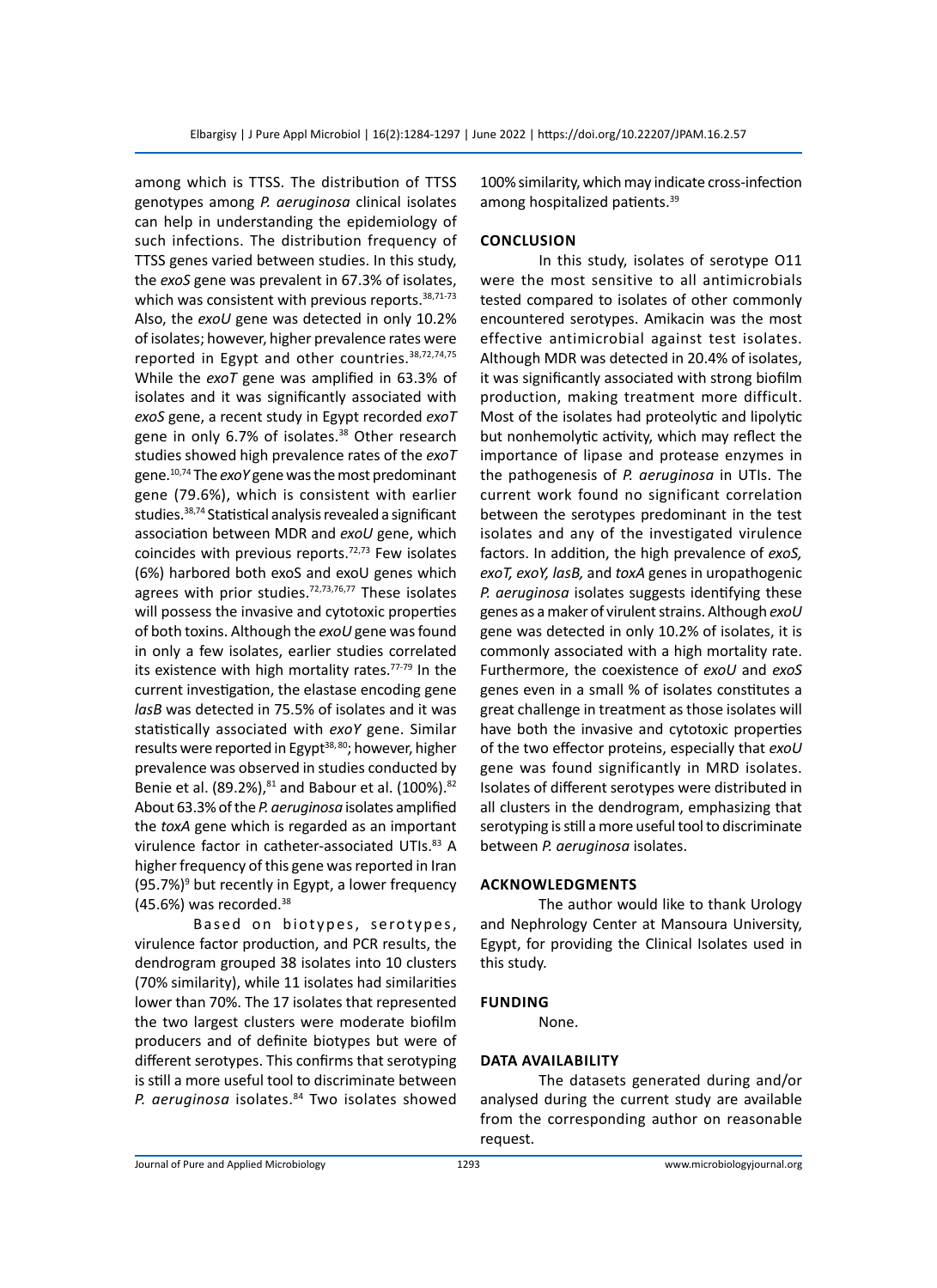among which is TTSS. The distribution of TTSS genotypes among *P. aeruginosa* clinical isolates can help in understanding the epidemiology of such infections. The distribution frequency of TTSS genes varied between studies. In this study, the *exoS* gene was prevalent in 67.3% of isolates, which was consistent with previous reports.<sup>38,71-73</sup> Also, the *exoU* gene was detected in only 10.2% of isolates; however, higher prevalence rates were reported in Egypt and other countries.38,72,74,75 While the *exoT* gene was amplified in 63.3% of isolates and it was significantly associated with *exoS* gene, a recent study in Egypt recorded *exoT* gene in only 6.7% of isolates.<sup>38</sup> Other research studies showed high prevalence rates of the *exoT* gene.10,74 The *exoY* gene was the most predominant gene (79.6%), which is consistent with earlier studies.38,74 Statistical analysis revealed a significant association between MDR and *exoU* gene, which coincides with previous reports. $72,73$  Few isolates (6%) harbored both exoS and exoU genes which agrees with prior studies. $72,73,76,77$  These isolates will possess the invasive and cytotoxic properties of both toxins. Although the *exoU* gene was found in only a few isolates, earlier studies correlated its existence with high mortality rates.<sup>77-79</sup> In the current investigation, the elastase encoding gene *lasB* was detected in 75.5% of isolates and it was statistically associated with *exoY* gene. Similar results were reported in Egypt<sup>38, 80</sup>; however, higher prevalence was observed in studies conducted by Benie et al. (89.2%), $81$  and Babour et al. (100%). $82$ About 63.3% of the *P. aeruginosa* isolates amplified the *toxA* gene which is regarded as an important virulence factor in catheter-associated UTIs.<sup>83</sup> A higher frequency of this gene was reported in Iran  $(95.7%)<sup>9</sup>$  but recently in Egypt, a lower frequency  $(45.6%)$  was recorded.<sup>38</sup>

Based on biotypes, serotypes, virulence factor production, and PCR results, the dendrogram grouped 38 isolates into 10 clusters (70% similarity), while 11 isolates had similarities lower than 70%. The 17 isolates that represented the two largest clusters were moderate biofilm producers and of definite biotypes but were of different serotypes. This confirms that serotyping is still a more useful tool to discriminate between P. aeruginosa isolates.<sup>84</sup> Two isolates showed 100% similarity, which may indicate cross-infection among hospitalized patients.<sup>39</sup>

#### **Conclusion**

In this study, isolates of serotype O11 were the most sensitive to all antimicrobials tested compared to isolates of other commonly encountered serotypes. Amikacin was the most effective antimicrobial against test isolates. Although MDR was detected in 20.4% of isolates, it was significantly associated with strong biofilm production, making treatment more difficult. Most of the isolates had proteolytic and lipolytic but nonhemolytic activity, which may reflect the importance of lipase and protease enzymes in the pathogenesis of *P. aeruginosa* in UTIs. The current work found no significant correlation between the serotypes predominant in the test isolates and any of the investigated virulence factors. In addition, the high prevalence of *exoS, exoT, exoY, lasB,* and *toxA* genes in uropathogenic *P. aeruginosa* isolates suggests identifying these genes as a maker of virulent strains. Although *exoU*  gene was detected in only 10.2% of isolates, it is commonly associated with a high mortality rate. Furthermore, the coexistence of *exoU* and *exoS* genes even in a small % of isolates constitutes a great challenge in treatment as those isolates will have both the invasive and cytotoxic properties of the two effector proteins, especially that *exoU* gene was found significantly in MRD isolates. Isolates of different serotypes were distributed in all clusters in the dendrogram, emphasizing that serotyping is still a more useful tool to discriminate between *P. aeruginosa* isolates.

#### **Acknowledgments**

The author would like to thank Urology and Nephrology Center at Mansoura University, Egypt, for providing the Clinical Isolates used in this study.

#### **Funding**

None.

# **Data availability**

The datasets generated during and/or analysed during the current study are available from the corresponding author on reasonable request.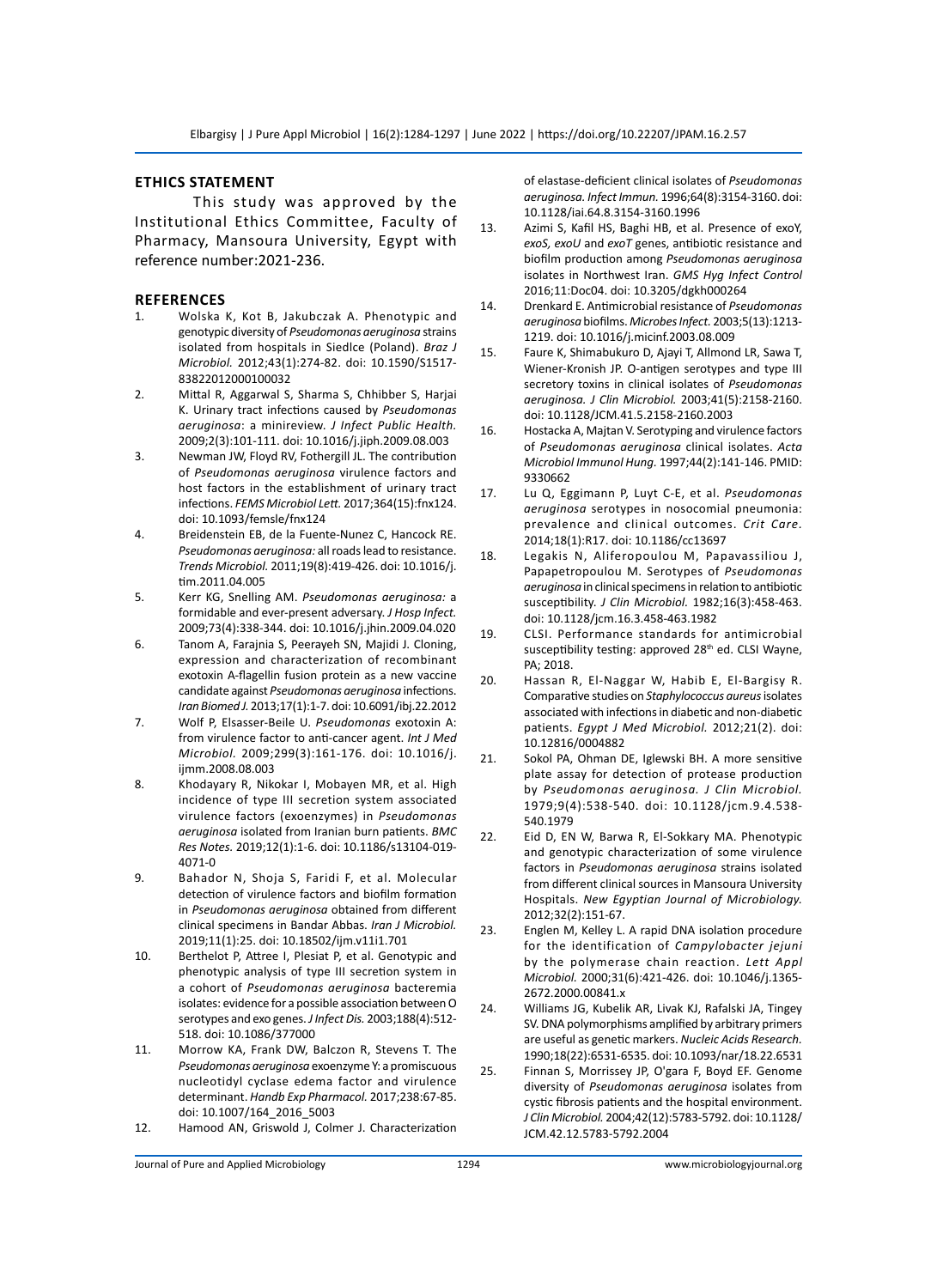### **Ethics statement**

This study was approved by the Institutional Ethics Committee, Faculty of Pharmacy, Mansoura University, Egypt with reference number:2021-236.

#### **References**

- 1. Wolska K, Kot B, Jakubczak A. Phenotypic and genotypic diversity of *Pseudomonas aeruginosa* strains isolated from hospitals in Siedlce (Poland). *Braz J Microbiol.* 2012;43(1):274-82. doi: 10.1590/S1517- 83822012000100032
- 2. Mittal R, Aggarwal S, Sharma S, Chhibber S, Harjai K. Urinary tract infections caused by *Pseudomonas aeruginosa*: a minireview. *J Infect Public Health.* 2009;2(3):101-111. doi: 10.1016/j.jiph.2009.08.003
- 3. Newman JW, Floyd RV, Fothergill JL. The contribution of *Pseudomonas aeruginosa* virulence factors and host factors in the establishment of urinary tract infections. *FEMS Microbiol Lett.* 2017;364(15):fnx124. doi: 10.1093/femsle/fnx124
- 4. Breidenstein EB, de la Fuente-Nunez C, Hancock RE. *Pseudomonas aeruginosa:* all roads lead to resistance. *Trends Microbiol.* 2011;19(8):419-426. doi: 10.1016/j. tim.2011.04.005
- 5. Kerr KG, Snelling AM. *Pseudomonas aeruginosa:* a formidable and ever-present adversary. *J Hosp Infect.* 2009;73(4):338-344. doi: 10.1016/j.jhin.2009.04.020
- 6. Tanom A, Farajnia S, Peerayeh SN, Majidi J. Cloning, expression and characterization of recombinant exotoxin A-flagellin fusion protein as a new vaccine candidate against *Pseudomonas aeruginosa* infections. *Iran Biomed J.* 2013;17(1):1-7. doi: 10.6091/ibj.22.2012
- 7. Wolf P, Elsasser-Beile U. *Pseudomonas* exotoxin A: from virulence factor to anti-cancer agent. *Int J Med Microbiol.* 2009;299(3):161-176. doi: 10.1016/j. ijmm.2008.08.003
- 8. Khodayary R, Nikokar I, Mobayen MR, et al. High incidence of type III secretion system associated virulence factors (exoenzymes) in *Pseudomonas aeruginosa* isolated from Iranian burn patients. *BMC Res Notes.* 2019;12(1):1-6. doi: 10.1186/s13104-019- 4071-0
- 9. Bahador N, Shoja S, Faridi F, et al. Molecular detection of virulence factors and biofilm formation in *Pseudomonas aeruginosa* obtained from different clinical specimens in Bandar Abbas. *Iran J Microbiol.* 2019;11(1):25. doi: 10.18502/ijm.v11i1.701
- 10. Berthelot P, Attree I, Plesiat P, et al. Genotypic and phenotypic analysis of type III secretion system in a cohort of *Pseudomonas aeruginosa* bacteremia isolates: evidence for a possible association between O serotypes and exo genes. *J Infect Dis.* 2003;188(4):512- 518. doi: 10.1086/377000
- 11. Morrow KA, Frank DW, Balczon R, Stevens T. The *Pseudomonas aeruginosa* exoenzyme Y: a promiscuous nucleotidyl cyclase edema factor and virulence determinant. *Handb Exp Pharmacol.* 2017;238:67-85. doi: 10.1007/164\_2016\_5003
- 12. Hamood AN, Griswold J, Colmer J. Characterization

of elastase-deficient clinical isolates of *Pseudomonas aeruginosa. Infect Immun.* 1996;64(8):3154-3160. doi: 10.1128/iai.64.8.3154-3160.1996

- 13. Azimi S, Kafil HS, Baghi HB, et al. Presence of exoY, *exoS, exoU* and *exoT* genes, antibiotic resistance and biofilm production among *Pseudomonas aeruginosa*  isolates in Northwest Iran. *GMS Hyg Infect Control* 2016;11:Doc04. doi: 10.3205/dgkh000264
- 14. Drenkard E. Antimicrobial resistance of *Pseudomonas aeruginosa* biofilms. *Microbes Infect.* 2003;5(13):1213- 1219. doi: 10.1016/j.micinf.2003.08.009
- 15. Faure K, Shimabukuro D, Ajayi T, Allmond LR, Sawa T, Wiener-Kronish JP. O-antigen serotypes and type III secretory toxins in clinical isolates of *Pseudomonas aeruginosa. J Clin Microbiol.* 2003;41(5):2158-2160. doi: 10.1128/JCM.41.5.2158-2160.2003
- 16. Hostacka A, Majtan V. Serotyping and virulence factors of *Pseudomonas aeruginosa* clinical isolates. *Acta Microbiol Immunol Hung.* 1997;44(2):141-146. PMID: 9330662
- 17. Lu Q, Eggimann P, Luyt C-E, et al. *Pseudomonas aeruginosa* serotypes in nosocomial pneumonia: prevalence and clinical outcomes. *Crit Care.* 2014;18(1):R17. doi: 10.1186/cc13697
- 18. Legakis N, Aliferopoulou M, Papavassiliou J, Papapetropoulou M. Serotypes of *Pseudomonas aeruginosa* in clinical specimens in relation to antibiotic susceptibility. *J Clin Microbiol.* 1982;16(3):458-463. doi: 10.1128/jcm.16.3.458-463.1982
- 19. CLSI. Performance standards for antimicrobial susceptibility testing: approved 28<sup>th</sup> ed. CLSI Wayne, PA; 2018.
- 20. Hassan R, El-Naggar W, Habib E, El-Bargisy R. Comparative studies on *Staphylococcus aureus* isolates associated with infections in diabetic and non-diabetic patients. *Egypt J Med Microbiol.* 2012;21(2). doi: 10.12816/0004882
- 21. Sokol PA, Ohman DE, Iglewski BH. A more sensitive plate assay for detection of protease production by *Pseudomonas aeruginosa. J Clin Microbiol.* 1979;9(4):538-540. doi: 10.1128/jcm.9.4.538- 540.1979
- 22. Eid D, EN W, Barwa R, El-Sokkary MA. Phenotypic and genotypic characterization of some virulence factors in *Pseudomonas aeruginosa* strains isolated from different clinical sources in Mansoura University Hospitals. *New Egyptian Journal of Microbiology.* 2012;32(2):151-67.
- 23. Englen M, Kelley L. A rapid DNA isolation procedure for the identification of *Campylobacter jejuni* by the polymerase chain reaction. *Lett Appl Microbiol.* 2000;31(6):421-426. doi: 10.1046/j.1365- 2672.2000.00841.x
- 24. Williams JG, Kubelik AR, Livak KJ, Rafalski JA, Tingey SV. DNA polymorphisms amplified by arbitrary primers are useful as genetic markers. *Nucleic Acids Research.*  1990;18(22):6531-6535. doi: 10.1093/nar/18.22.6531
- 25. Finnan S, Morrissey JP, O'gara F, Boyd EF. Genome diversity of *Pseudomonas aeruginosa* isolates from cystic fibrosis patients and the hospital environment. *J Clin Microbiol.* 2004;42(12):5783-5792. doi: 10.1128/ JCM.42.12.5783-5792.2004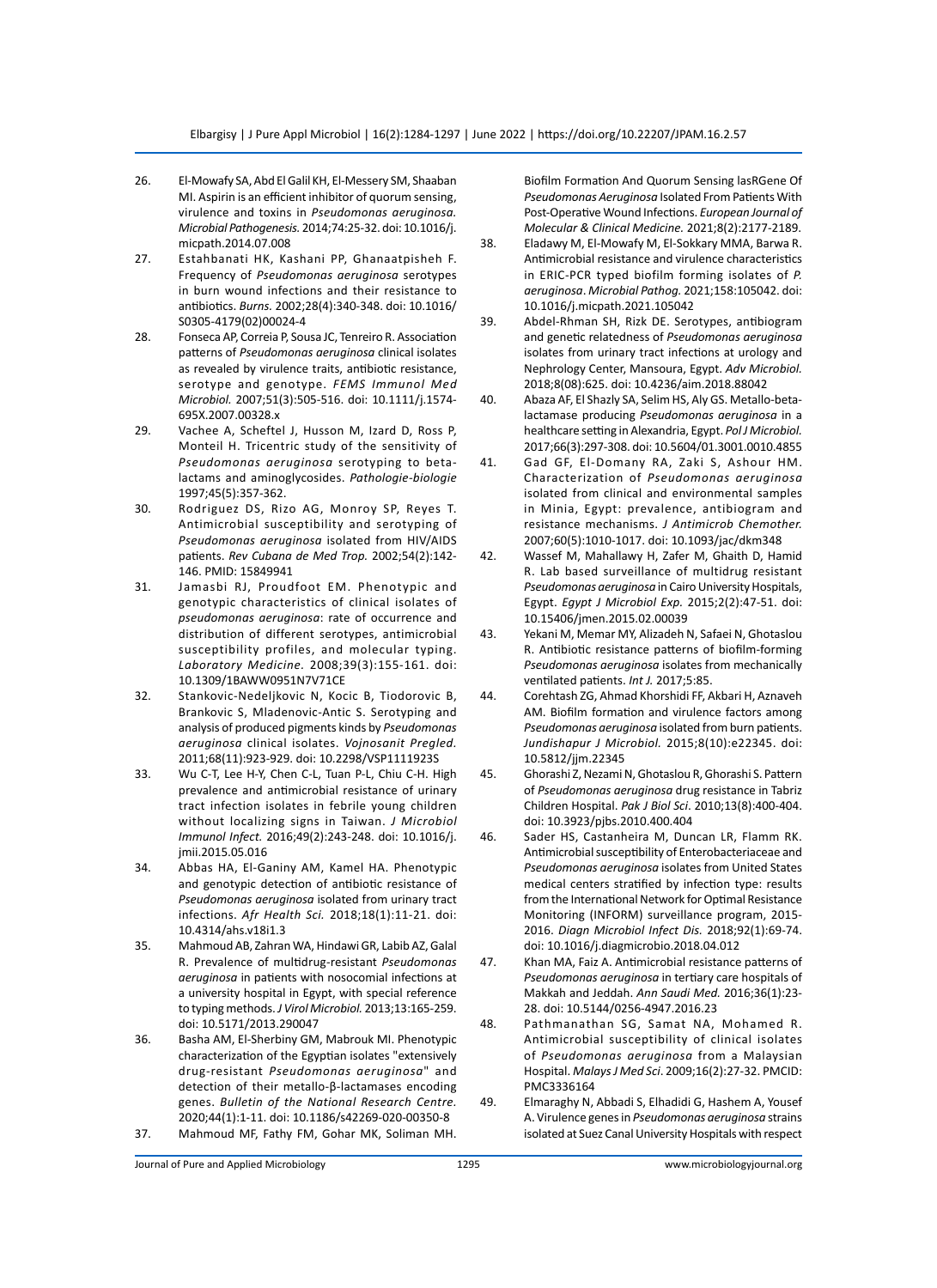- 26. El-Mowafy SA, Abd El Galil KH, El-Messery SM, Shaaban MI. Aspirin is an efficient inhibitor of quorum sensing, virulence and toxins in *Pseudomonas aeruginosa. Microbial Pathogenesis.* 2014;74:25-32. doi: 10.1016/j. micpath.2014.07.008
- 27. Estahbanati HK, Kashani PP, Ghanaatpisheh F. Frequency of *Pseudomonas aeruginosa* serotypes in burn wound infections and their resistance to antibiotics. *Burns.* 2002;28(4):340-348. doi: 10.1016/ S0305-4179(02)00024-4
- 28. Fonseca AP, Correia P, Sousa JC, Tenreiro R. Association patterns of *Pseudomonas aeruginosa* clinical isolates as revealed by virulence traits, antibiotic resistance, serotype and genotype. *FEMS Immunol Med Microbiol.* 2007;51(3):505-516. doi: 10.1111/j.1574- 695X.2007.00328.x
- 29. Vachee A, Scheftel J, Husson M, Izard D, Ross P, Monteil H. Tricentric study of the sensitivity of *Pseudomonas aeruginosa* serotyping to betalactams and aminoglycosides. *Pathologie-biologie* 1997;45(5):357-362.
- 30. Rodriguez DS, Rizo AG, Monroy SP, Reyes T. Antimicrobial susceptibility and serotyping of *Pseudomonas aeruginosa* isolated from HIV/AIDS patients. *Rev Cubana de Med Trop.* 2002;54(2):142- 146. PMID: 15849941
- 31. Jamasbi RJ, Proudfoot EM. Phenotypic and genotypic characteristics of clinical isolates of *pseudomonas aeruginosa*: rate of occurrence and distribution of different serotypes, antimicrobial susceptibility profiles, and molecular typing. *Laboratory Medicine.* 2008;39(3):155-161. doi: 10.1309/1BAWW0951N7V71CE
- 32. Stankovic-Nedeljkovic N, Kocic B, Tiodorovic B, Brankovic S, Mladenovic-Antic S. Serotyping and analysis of produced pigments kinds by *Pseudomonas aeruginosa* clinical isolates. *Vojnosanit Pregled.* 2011;68(11):923-929. doi: 10.2298/VSP1111923S
- 33. Wu C-T, Lee H-Y, Chen C-L, Tuan P-L, Chiu C-H. High prevalence and antimicrobial resistance of urinary tract infection isolates in febrile young children without localizing signs in Taiwan. *J Microbiol Immunol Infect.* 2016;49(2):243-248. doi: 10.1016/j. jmii.2015.05.016
- 34. Abbas HA, El-Ganiny AM, Kamel HA. Phenotypic and genotypic detection of antibiotic resistance of *Pseudomonas aeruginosa* isolated from urinary tract infections. *Afr Health Sci.* 2018;18(1):11-21. doi: 10.4314/ahs.v18i1.3
- 35. Mahmoud AB, Zahran WA, Hindawi GR, Labib AZ, Galal R. Prevalence of multidrug-resistant *Pseudomonas aeruginosa* in patients with nosocomial infections at a university hospital in Egypt, with special reference to typing methods. *J Virol Microbiol.* 2013;13:165-259. doi: 10.5171/2013.290047
- 36. Basha AM, El-Sherbiny GM, Mabrouk MI. Phenotypic characterization of the Egyptian isolates "extensively drug-resistant *Pseudomonas aeruginosa*" and detection of their metallo-β-lactamases encoding genes. *Bulletin of the National Research Centre.* 2020;44(1):1-11. doi: 10.1186/s42269-020-00350-8 37. Mahmoud MF, Fathy FM, Gohar MK, Soliman MH.

Biofilm Formation And Quorum Sensing lasRGene Of *Pseudomonas Aeruginosa* Isolated From Patients With Post-Operative Wound Infections. *European Journal of Molecular & Clinical Medicine.* 2021;8(2):2177-2189.

- 38. Eladawy M, El-Mowafy M, El-Sokkary MMA, Barwa R. Antimicrobial resistance and virulence characteristics in ERIC-PCR typed biofilm forming isolates of *P. aeruginosa*. *Microbial Pathog.* 2021;158:105042. doi: 10.1016/j.micpath.2021.105042
- 39. Abdel-Rhman SH, Rizk DE. Serotypes, antibiogram and genetic relatedness of *Pseudomonas aeruginosa*  isolates from urinary tract infections at urology and Nephrology Center, Mansoura, Egypt. *Adv Microbiol.* 2018;8(08):625. doi: 10.4236/aim.2018.88042
- 40. Abaza AF, El Shazly SA, Selim HS, Aly GS. Metallo-betalactamase producing *Pseudomonas aeruginosa* in a healthcare setting in Alexandria, Egypt. *Pol J Microbiol.* 2017;66(3):297-308. doi: 10.5604/01.3001.0010.4855
- 41. Gad GF, El-Domany RA, Zaki S, Ashour HM. Characterization of *Pseudomonas aeruginosa*  isolated from clinical and environmental samples in Minia, Egypt: prevalence, antibiogram and resistance mechanisms. *J Antimicrob Chemother.* 2007;60(5):1010-1017. doi: 10.1093/jac/dkm348
- 42. Wassef M, Mahallawy H, Zafer M, Ghaith D, Hamid R. Lab based surveillance of multidrug resistant *Pseudomonas aeruginosa* in Cairo University Hospitals, Egypt. *Egypt J Microbiol Exp.* 2015;2(2):47-51. doi: 10.15406/jmen.2015.02.00039
- 43. Yekani M, Memar MY, Alizadeh N, Safaei N, Ghotaslou R. Antibiotic resistance patterns of biofilm-forming *Pseudomonas aeruginosa* isolates from mechanically ventilated patients. *Int J.* 2017;5:85.
- 44. Corehtash ZG, Ahmad Khorshidi FF, Akbari H, Aznaveh AM. Biofilm formation and virulence factors among *Pseudomonas aeruginosa* isolated from burn patients. *Jundishapur J Microbiol.* 2015;8(10):e22345. doi: 10.5812/jjm.22345
- 45. Ghorashi Z, Nezami N, Ghotaslou R, Ghorashi S. Pattern of *Pseudomonas aeruginosa* drug resistance in Tabriz Children Hospital. *Pak J Biol Sci*. 2010;13(8):400-404. doi: 10.3923/pjbs.2010.400.404
- 46. Sader HS, Castanheira M, Duncan LR, Flamm RK. Antimicrobial susceptibility of Enterobacteriaceae and *Pseudomonas aeruginosa* isolates from United States medical centers stratified by infection type: results from the International Network for Optimal Resistance Monitoring (INFORM) surveillance program, 2015- 2016. *Diagn Microbiol Infect Dis.* 2018;92(1):69-74. doi: 10.1016/j.diagmicrobio.2018.04.012
- 47. Khan MA, Faiz A. Antimicrobial resistance patterns of *Pseudomonas aeruginosa* in tertiary care hospitals of Makkah and Jeddah. *Ann Saudi Med.* 2016;36(1):23- 28. doi: 10.5144/0256-4947.2016.23
- 48. Pathmanathan SG, Samat NA, Mohamed R. Antimicrobial susceptibility of clinical isolates of *Pseudomonas aeruginosa* from a Malaysian Hospital. *Malays J Med Sci*. 2009;16(2):27-32. PMCID: PMC3336164
- 49. Elmaraghy N, Abbadi S, Elhadidi G, Hashem A, Yousef A. Virulence genes in *Pseudomonas aeruginosa* strains isolated at Suez Canal University Hospitals with respect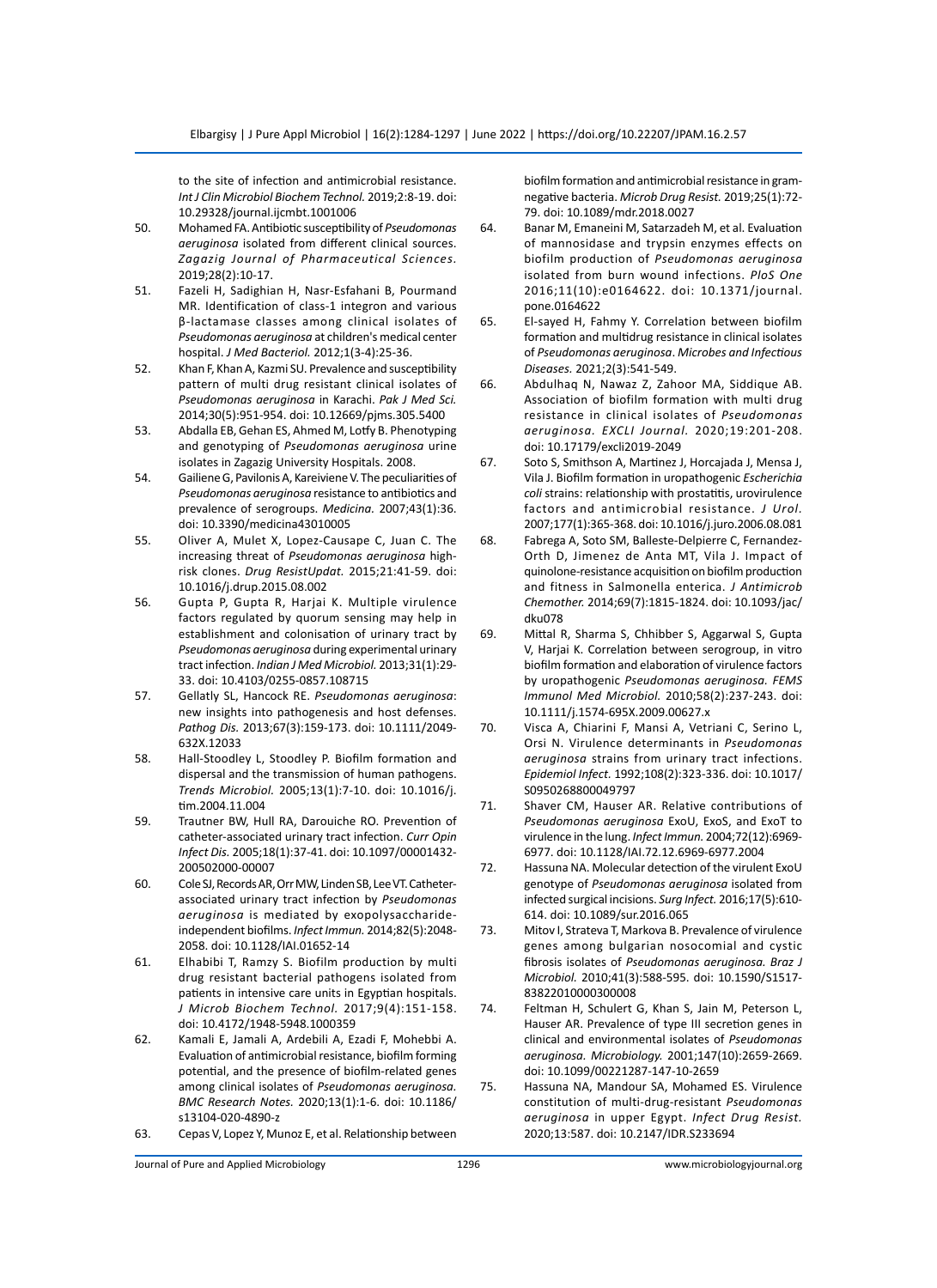to the site of infection and antimicrobial resistance. *Int J Clin Microbiol Biochem Technol.* 2019;2:8-19. doi: 10.29328/journal.ijcmbt.1001006

- 50. Mohamed FA. Antibiotic susceptibility of *Pseudomonas aeruginosa* isolated from different clinical sources. *Zagazig Journal of Pharmaceutical Sciences.* 2019;28(2):10-17.
- 51. Fazeli H, Sadighian H, Nasr-Esfahani B, Pourmand MR. Identification of class-1 integron and various β-lactamase classes among clinical isolates of *Pseudomonas aeruginosa* at children's medical center hospital. *J Med Bacteriol.* 2012;1(3-4):25-36.
- 52. Khan F, Khan A, Kazmi SU. Prevalence and susceptibility pattern of multi drug resistant clinical isolates of *Pseudomonas aeruginosa* in Karachi. *Pak J Med Sci.* 2014;30(5):951-954. doi: 10.12669/pjms.305.5400
- 53. Abdalla EB, Gehan ES, Ahmed M, Lotfy B. Phenotyping and genotyping of *Pseudomonas aeruginosa* urine isolates in Zagazig University Hospitals. 2008.
- 54. Gailiene G, Pavilonis A, Kareiviene V. The peculiarities of *Pseudomonas aeruginosa* resistance to antibiotics and prevalence of serogroups. *Medicina.* 2007;43(1):36. doi: 10.3390/medicina43010005
- 55. Oliver A, Mulet X, Lopez-Causape C, Juan C. The increasing threat of *Pseudomonas aeruginosa* highrisk clones. *Drug ResistUpdat.* 2015;21:41-59. doi: 10.1016/j.drup.2015.08.002
- 56. Gupta P, Gupta R, Harjai K. Multiple virulence factors regulated by quorum sensing may help in establishment and colonisation of urinary tract by *Pseudomonas aeruginosa* during experimental urinary tract infection. *Indian J Med Microbiol.* 2013;31(1):29- 33. doi: 10.4103/0255-0857.108715
- 57. Gellatly SL, Hancock RE. *Pseudomonas aeruginosa*: new insights into pathogenesis and host defenses. *Pathog Dis.* 2013;67(3):159-173. doi: 10.1111/2049- 632X.12033
- 58. Hall-Stoodley L, Stoodley P. Biofilm formation and dispersal and the transmission of human pathogens. *Trends Microbiol.* 2005;13(1):7-10. doi: 10.1016/j. tim.2004.11.004
- 59. Trautner BW, Hull RA, Darouiche RO. Prevention of catheter-associated urinary tract infection. *Curr Opin Infect Dis.* 2005;18(1):37-41. doi: 10.1097/00001432- 200502000-00007
- 60. Cole SJ, Records AR, Orr MW, Linden SB, Lee VT. Catheterassociated urinary tract infection by *Pseudomonas aeruginosa* is mediated by exopolysaccharideindependent biofilms. *Infect Immun.* 2014;82(5):2048- 2058. doi: 10.1128/IAI.01652-14
- 61. Elhabibi T, Ramzy S. Biofilm production by multi drug resistant bacterial pathogens isolated from patients in intensive care units in Egyptian hospitals. *J Microb Biochem Technol.* 2017;9(4):151-158. doi: 10.4172/1948-5948.1000359
- 62. Kamali E, Jamali A, Ardebili A, Ezadi F, Mohebbi A. Evaluation of antimicrobial resistance, biofilm forming potential, and the presence of biofilm-related genes among clinical isolates of *Pseudomonas aeruginosa. BMC Research Notes.* 2020;13(1):1-6. doi: 10.1186/ s13104-020-4890-z
- 63. Cepas V, Lopez Y, Munoz E, et al. Relationship between

biofilm formation and antimicrobial resistance in gramnegative bacteria. *Microb Drug Resist.* 2019;25(1):72- 79. doi: 10.1089/mdr.2018.0027

- 64. Banar M, Emaneini M, Satarzadeh M, et al. Evaluation of mannosidase and trypsin enzymes effects on biofilm production of *Pseudomonas aeruginosa*  isolated from burn wound infections. *PloS One* 2016;11(10):e0164622. doi: 10.1371/journal. pone.0164622
- 65. El-sayed H, Fahmy Y. Correlation between biofilm formation and multidrug resistance in clinical isolates of *Pseudomonas aeruginosa*. *Microbes and Infectious Diseases.* 2021;2(3):541-549.
- 66. Abdulhaq N, Nawaz Z, Zahoor MA, Siddique AB. Association of biofilm formation with multi drug resistance in clinical isolates of *Pseudomonas aeruginosa. EXCLI Journal.* 2020;19:201-208. doi: 10.17179/excli2019-2049
- 67. Soto S, Smithson A, Martinez J, Horcajada J, Mensa J, Vila J. Biofilm formation in uropathogenic *Escherichia coli* strains: relationship with prostatitis, urovirulence factors and antimicrobial resistance. *J Urol.* 2007;177(1):365-368. doi: 10.1016/j.juro.2006.08.081
- 68. Fabrega A, Soto SM, Balleste-Delpierre C, Fernandez-Orth D, Jimenez de Anta MT, Vila J. Impact of quinolone-resistance acquisition on biofilm production and fitness in Salmonella enterica. *J Antimicrob Chemother.* 2014;69(7):1815-1824. doi: 10.1093/jac/ dku078
- 69. Mittal R, Sharma S, Chhibber S, Aggarwal S, Gupta V, Harjai K. Correlation between serogroup, in vitro biofilm formation and elaboration of virulence factors by uropathogenic *Pseudomonas aeruginosa. FEMS Immunol Med Microbiol.* 2010;58(2):237-243. doi: 10.1111/j.1574-695X.2009.00627.x
- 70. Visca A, Chiarini F, Mansi A, Vetriani C, Serino L, Orsi N. Virulence determinants in *Pseudomonas aeruginosa* strains from urinary tract infections. *Epidemiol Infect.* 1992;108(2):323-336. doi: 10.1017/ S0950268800049797
- 71. Shaver CM, Hauser AR. Relative contributions of *Pseudomonas aeruginosa* ExoU, ExoS, and ExoT to virulence in the lung. *Infect Immun.* 2004;72(12):6969- 6977. doi: 10.1128/IAI.72.12.6969-6977.2004
- 72. Hassuna NA. Molecular detection of the virulent ExoU genotype of *Pseudomonas aeruginosa* isolated from infected surgical incisions. *Surg Infect.* 2016;17(5):610- 614. doi: 10.1089/sur.2016.065
- 73. Mitov I, Strateva T, Markova B. Prevalence of virulence genes among bulgarian nosocomial and cystic fibrosis isolates of *Pseudomonas aeruginosa. Braz J Microbiol.* 2010;41(3):588-595. doi: 10.1590/S1517- 83822010000300008
- 74. Feltman H, Schulert G, Khan S, Jain M, Peterson L, Hauser AR. Prevalence of type III secretion genes in clinical and environmental isolates of *Pseudomonas aeruginosa. Microbiology.* 2001;147(10):2659-2669. doi: 10.1099/00221287-147-10-2659
- 75. Hassuna NA, Mandour SA, Mohamed ES. Virulence constitution of multi-drug-resistant *Pseudomonas aeruginosa* in upper Egypt. *Infect Drug Resist.* 2020;13:587. doi: 10.2147/IDR.S233694